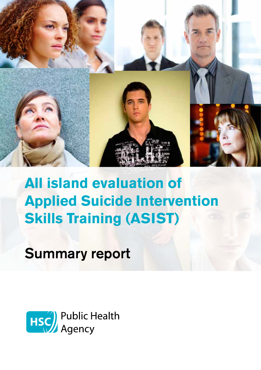

# **All island evaluation of Applied Suicide Intervention Skills Training (ASIST)**

Summary report

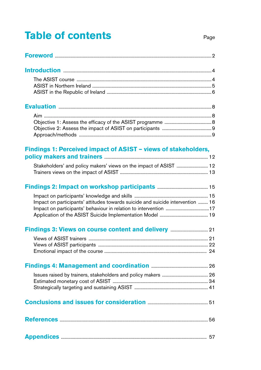# **Table of contents**

| <b>Foreword</b><br>$\rightarrow$ . The continuum continuum continuum continuum continuum continuum continuum continuum continuum continuum continuum continuum continuum continuum continuum continuum continuum continuum continuum continuum continuum |
|----------------------------------------------------------------------------------------------------------------------------------------------------------------------------------------------------------------------------------------------------------|
|----------------------------------------------------------------------------------------------------------------------------------------------------------------------------------------------------------------------------------------------------------|

# Findings 1: Perceived impact of ASIST - views of stakeholders,

# Impact on participants' attitudes towards suicide and suicide intervention ........ 16

#### Views of ACICT trainers  $01$

# 

# Conclusions and issues for consideration **Conclusion** 51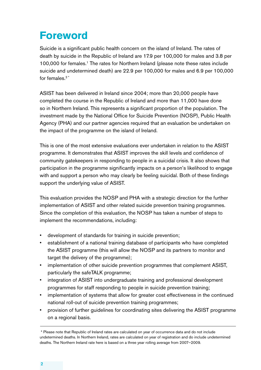# **Foreword**

Suicide is a significant public health concern on the island of Ireland. The rates of death by suicide in the Republic of Ireland are 17.9 per 100,000 for males and 3.8 per 100,000 for females.<sup>1</sup> The rates for Northern Ireland (please note these rates include suicide and undetermined death) are 22.9 per 100,000 for males and 6.9 per 100,000 for females  $2^*$ 

ASIST has been delivered in Ireland since 2004; more than 20,000 people have completed the course in the Republic of Ireland and more than 11,000 have done so in Northern Ireland. This represents a significant proportion of the population. The investment made by the National Office for Suicide Prevention (NOSP), Public Health Agency (PHA) and our partner agencies required that an evaluation be undertaken on the impact of the programme on the island of Ireland.

This is one of the most extensive evaluations ever undertaken in relation to the ASIST programme. It demonstrates that ASIST improves the skill levels and confidence of community gatekeepers in responding to people in a suicidal crisis. It also shows that participation in the programme significantly impacts on a person's likelihood to engage with and support a person who may clearly be feeling suicidal. Both of these findings support the underlying value of ASIST.

This evaluation provides the NOSP and PHA with a strategic direction for the further implementation of ASIST and other related suicide prevention training programmes. Since the completion of this evaluation, the NOSP has taken a number of steps to implement the recommendations, including:

- development of standards for training in suicide prevention;
- establishment of a national training database of participants who have completed the ASIST programme (this will allow the NOSP and its partners to monitor and target the delivery of the programme);
- implementation of other suicide prevention programmes that complement ASIST, particularly the safeTALK programme;
- integration of ASIST into undergraduate training and professional development programmes for staff responding to people in suicide prevention training;
- implementation of systems that allow for greater cost effectiveness in the continued national roll-out of suicide prevention training programmes;
- provision of further guidelines for coordinating sites delivering the ASIST programme on a regional basis.

 <sup>\*</sup> Please note that Republic of Ireland rates are calculated on year of occurrence data and do not include undetermined deaths. In Northern Ireland, rates are calculated on year of registration and do include undetermined deaths. The Northern Ireland rate here is based on a three year rolling average from 2007–2009.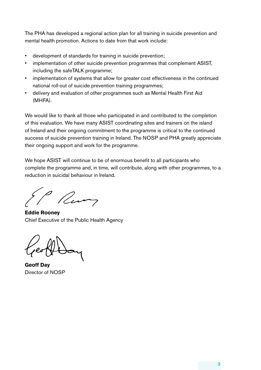The PHA has developed a regional action plan for all training in suicide prevention and mental health promotion. Actions to date from that work include:

- development of standards for training in suicide prevention;
- implementation of other suicide prevention programmes that complement ASIST, including the safeTALK programme;
- implementation of systems that allow for greater cost effectiveness in the continued national roll-out of suicide prevention training programmes;
- delivery and evaluation of other programmes such as Mental Health First Aid (MHFA).

We would like to thank all those who participated in and contributed to the completion of this evaluation. We have many ASIST coordinating sites and trainers on the island of Ireland and their ongoing commitment to the programme is critical to the continued success of suicide prevention training in Ireland. The NOSP and PHA greatly appreciate their ongoing support and work for the programme.

We hope ASIST will continue to be of enormous benefit to all participants who complete the programme and, in time, will contribute, along with other programmes, to a reduction in suicidal behaviour in Ireland.

Run

**Eddie Rooney** Chief Executive of the Public Health Agency

**Geoff Day** Director of NOSP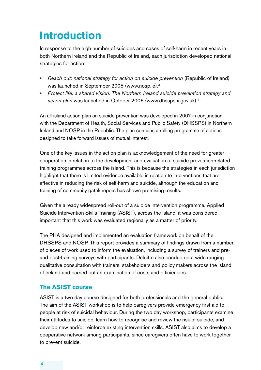# **Introduction**

In response to the high number of suicides and cases of self-harm in recent years in both. Northern Ireland and the Republic of Ireland, each jurisdiction developed national strategies for action:

- Reach out: national strategy for action on suicide prevention (Republic of Ireland). was launched in September 2005 (www.nosp.ie).<sup>3</sup>
- Protect life: a shared vision. The Northern Ireland suicide prevention strategy and action plan was launched in October 2006 (www.dhsspsni.gov.uk).<sup>4</sup>

An all-island action plan on suicide prevention was developed in 2007 in conjunction. with the Department of Health, Social Services and Public Safety (DHSSPS) in Northern. Ireland and NOSP in the Republic. The plan contains a rolling programme of actions. designed to take forward issues of mutual interest.

One of the key issues in the action plan is acknowledgement of the need for greater. cooperation in relation to the development and evaluation of suicide prevention-related training programmes across the island. This is because the strategies in each jurisdiction highlight that there is limited evidence available in relation to interventions that are. effective in reducing the risk of self-harm and suicide, although the education and. training of community gatekeepers has shown promising results.

Given the already widespread roll-out of a suicide intervention programme, Applied. Suicide Intervention Skills Training (ASIST), across the island, it was considered. important that this work was evaluated regionally as a matter of priority.

The PHA designed and implemented an evaluation framework on behalf of the. DHSSPS and NOSP. This report provides a summary of findings drawn from a number. of pieces of work used to inform the evaluation, including a survey of trainers and preand post-training surveys with participants. Deloitte also conducted a wide ranging. qualitative consultation with trainers, stakeholders and policy makers across the island of. Ireland and carried out an examination of costs and efficiencies.

# **The ASIST course**

ASIST is a two.day course designed for both professionals and the general public. The aim of the ASIST workshop is to help caregivers provide emergency first aid to. people at risk of suicidal behaviour. During the two day workshop, participants examine their attitudes to suicide, learn how to recognise and review the risk of suicide, and develop new and/or reinforce existing intervention skills. ASIST also aims to develop a cooperative network among participants, since caregivers often have to work together. to prevent suicide.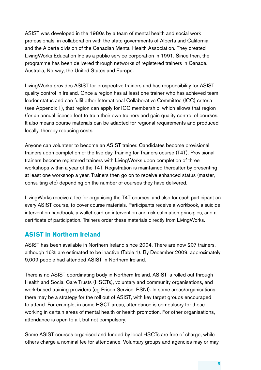ASIST was developed in the 1980s by a team of mental health and social work. professionals, in collaboration with the state governments of Alberta and California, and the Alberta division of the Canadian Mental Health Association. They created LivingWorks Education Inc. as a public service corporation in 1991. Since then, the. programme has been.delivered through networks of registered trainers in Canada, Australia, Norway, the United States and Europe.

LivingWorks provides ASIST for prospective trainers and has responsibility for ASIST quality control in Ireland. Once a region has at least one trainer who has achieved team leader status and can fulfil other International Collaborative Committee (ICC) criteria. (see Appendix 1), that region can apply for ICC membership, which allows that region. (for an annual license fee) to train their own trainers and gain quality control of courses. It also means course materials can be adapted for regional requirements and produced. locally, thereby reducing costs.

Anyone can volunteer to become an ASIST trainer. Candidates become provisional. trainers upon completion of the five day Training for Trainers course (T4T). Provisional trainers become registered trainers with LivingWorks upon completion of three. workshops within a year of the T4T. Registration is maintained thereafter by presenting. at least one workshop a year. Trainers then go on to receive enhanced status (master, consulting etc) depending on the number of courses they have delivered.

LivingWorks receive a fee for organising the T4T courses, and also for each participant on. every. ASIST course, to.cover.course.materials. Participants.receive a.workbook, a.suicide. intervention handbook, a wallet card on intervention and risk estimation principles, and a certificate of participation. Trainers order these materials directly from LivingWorks.

# **ASIST in Northern Ireland**

ASIST has been available in Northern Ireland since 2004. There are now 207 trainers, although 16% are estimated to be inactive (Table 1). By December 2009, approximately 9,009 people had attended ASIST in Northern Ireland.

There is no ASIST coordinating body in Northern Ireland. ASIST is rolled out through. Health and Social Care Trusts (HSCTs), voluntary and community organisations, and work-based training providers (eg Prison Service, PSNI). In some areas/organisations, there may be a strategy for the roll out of ASIST, with key target groups encouraged to attend. For example, in some HSCT areas, attendance is compulsory for those working in certain areas of mental health or health promotion. For other organisations, attendance is open to all, but not compulsory.

Some ASIST courses organised and funded by local HSCTs are free of charge, while. others charge a nominal fee for attendance. Voluntary groups and agencies may or may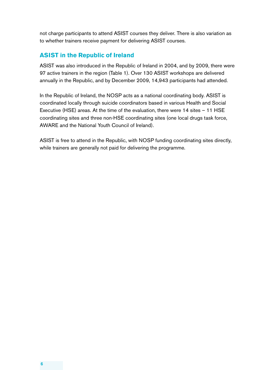not charge participants to attend ASIST courses they deliver. There is also variation as to whether trainers receive payment for delivering ASIST courses.

# **ASIST in the Republic of Ireland**

ASIST was also introduced in the Republic of Ireland in 2004, and by 2009, there were 97 active trainers in the region (Table 1). Over 130 ASIST workshops are delivered annually in the Republic, and by December 2009, 14,943 participants had attended.

In the Republic of Ireland, the NOSP acts as a national coordinating body. ASIST is coordinated locally through suicide coordinators based in various Health and Social Executive (HSE) areas. At the time of the evaluation, there were 14 sites – 11 HSE coordinating sites and three non-HSE coordinating sites (one local drugs task force, AWARE and the National Youth Council of Ireland).

ASIST is free to attend in the Republic, with NOSP funding coordinating sites directly, while trainers are generally not paid for delivering the programme.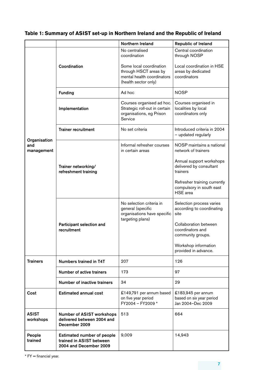|                                   |                                                                                         | <b>Northern Ireland</b>                                                                                | Republic of Ireland                                                  |  |
|-----------------------------------|-----------------------------------------------------------------------------------------|--------------------------------------------------------------------------------------------------------|----------------------------------------------------------------------|--|
|                                   |                                                                                         | No centralised<br>coordination                                                                         | Central coordination<br>through NOSP                                 |  |
|                                   | Coordination                                                                            | Some local coordination<br>through HSCT areas by<br>mental health coordinators<br>(health sector only) | Local coordination in HSE<br>areas by dedicated<br>coordinators      |  |
|                                   | <b>Funding</b>                                                                          | Ad hoc                                                                                                 | <b>NOSP</b>                                                          |  |
|                                   | Implementation                                                                          | Courses organised ad hoc.<br>Strategic roll-out in certain<br>organisations, eg Prison<br>Service      | Courses organised in<br>localities by local<br>coordinators only     |  |
|                                   | <b>Trainer recruitment</b>                                                              | No set criteria                                                                                        | Introduced criteria in 2004<br>- updated regularly                   |  |
| Organisation<br>and<br>management |                                                                                         | Informal refresher courses<br>in certain areas                                                         | NOSP maintains a national<br>network of trainers                     |  |
|                                   | Trainer networking/<br>refreshment training                                             |                                                                                                        | Annual support workshops<br>delivered by consultant<br>trainers      |  |
|                                   |                                                                                         |                                                                                                        | Refresher training currently<br>compulsory in south east<br>HSE area |  |
|                                   |                                                                                         | No selection criteria in<br>general (specific<br>organisations have specific<br>targeting plans)       | Selection process varies<br>according to coordinating<br>site        |  |
|                                   | Participant selection and<br>recruitment                                                |                                                                                                        | Collaboration between<br>coordinators and<br>community groups.       |  |
|                                   |                                                                                         |                                                                                                        | Workshop information<br>provided in advance.                         |  |
| <b>Trainers</b>                   | <b>Numbers trained in T4T</b>                                                           | 207                                                                                                    | 126                                                                  |  |
|                                   | Number of active trainers                                                               | 173                                                                                                    | 97                                                                   |  |
|                                   | <b>Number of inactive trainers</b>                                                      | 34                                                                                                     | 29                                                                   |  |
| Cost                              | <b>Estimated annual cost</b>                                                            | £149,791 per annum based<br>on five year period<br>FY2004 - FY2009 *                                   | £183,945 per annum<br>based on six year period<br>Jan 2004-Dec 2009  |  |
| <b>ASIST</b><br>workshops         | <b>Number of ASIST workshops</b><br>delivered between 2004 and<br>December 2009         | 513                                                                                                    | 664                                                                  |  |
| People<br>trained                 | <b>Estimated number of people</b><br>trained in ASIST between<br>2004 and December 2009 | 9,009                                                                                                  | 14,943                                                               |  |

# **Table 1: Summary of ASIST set-up in Northern Ireland and the Republic of Ireland**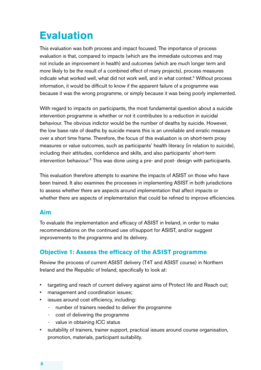# **Evaluation**

This evaluation was both process and impact focused. The importance of process evaluation is that, compared to impacts (which are the immediate outcomes and may not include an improvement in health) and outcomes (which are much longer term and more. likely to be the result of a combined effect of many projects), process measures. indicate what worked well, what did not work well, and in what context.<sup>5</sup> Without process information, it would be difficult to know if the apparent failure of a programme was. because it was the wrong programme, or simply because it was being poorly implemented.

With regard to impacts on participants, the most fundamental question about a suicide. intervention.programme.js.whether.or.not.jt.contributes.to.a.reduction.in.suicidal. behaviour. The obvious indictor would be the number of deaths by suicide. However, the low base rate of deaths by suicide means this is an unreliable and erratic measure. over a short time frame. Therefore, the focus of this evaluation is on short-term proxy. measures or value outcomes, such as participants' health literacy (in relation to suicide), including their attitudes, confidence and skills, and also participants' short-term. intervention behaviour.<sup>6</sup> This was done using a pre- and post- design with participants.

This evaluation therefore attempts to examine the impacts of ASIST on those who have. been trained. It also examines the processes in implementing ASIST in both jurisdictions. to assess whether there are aspects around implementation that affect impacts or. whether there are aspects of implementation that could be refined to improve efficiencies.

### **Aim**

To evaluate the implementation and efficacy of ASIST in Ireland, in order to make. recommendations on the continued use of/support for ASIST, and/or suggest. improvements to the programme and its delivery.

# **Objective 1: Assess the efficacy of the ASIST programme**

Review the process of current ASIST delivery (T4T and ASIST course) in Northern. Ireland and the Republic of Ireland, specifically to look at:

- targeting and reach of current delivery against aims of Protect life and Reach out;
- management and coordination issues;
- issues around cost efficiency, including:
	- number of trainers needed to deliver the programme.
	- cost of delivering the programme.
	- value in obtaining ICC status.
- suitability of trainers, trainer support, practical issues around course organisation, promotion, materials, participant suitability.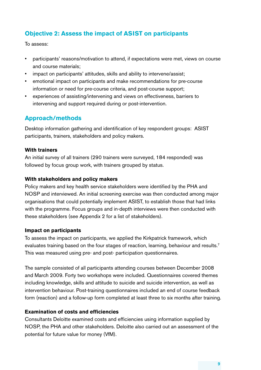# **Objective 2: Assess the impact of ASIST on participants**

To assess:

- participants' reasons/motivation to attend, if expectations were met, views on course. and course materials:
- impact on participants' attitudes, skills and ability to intervene/assist;
- emotional impact on participants and make recommendations for pre-course. information or need for pre-course criteria, and post-course support;
- experiences of assisting/intervening and views on effectiveness, barriers to. intervening and support required during or post-intervention.

# **Approach/methods**

Desktop information gathering and identification of key respondent groups: ASIST participants, trainers, stakeholders and policy makers.

#### **With trainers**

An initial survey of all trainers (290 trainers were surveyed, 184 responded) was. followed by focus group work, with trainers grouped by status.

#### **With stakeholders and policy makers**

Policy makers and key health service stakeholders were identified by the PHA and. NOSP and interviewed. An initial screening exercise was then conducted among major. organisations that could potentially implement ASIST, to establish those that had links. with the programme. Focus groups and in-depth interviews were then conducted with. these stakeholders (see Appendix 2 for a list of stakeholders).

#### **Impact on participants**

To assess the impact on participants, we applied the Kirkpatrick framework, which. evaluates training based on the four stages of reaction, learning, behaviour and results.<sup>7</sup> This was measured using pre- and post- participation questionnaires.

The sample consisted of all participants attending courses between December 2008. and March 2009. Forty two workshops were included. Questionnaires covered themes. including knowledge, skills and attitude to suicide and suicide intervention, as well as intervention behaviour. Post-training questionnaires included an end of course feedback. form (reaction) and a follow-up form completed at least three to six months after training.

### **Examination of costs and efficiencies**

Consultants. Deloitte examined costs and efficiencies using information supplied by NOSP, the PHA and other stakeholders. Deloitte also carried out an assessment of the. potential for future value for money (VfM).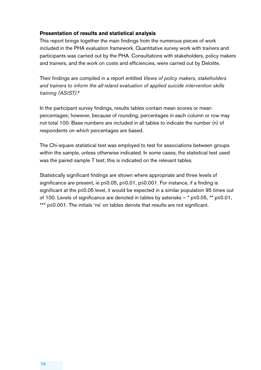#### **Presentation of results and statistical analysis**

This report brings together the main findings from the numerous pieces of work. included in the PHA evaluation framework. Quantitative survey work with trainers and participants was carried out by the PHA. Consultations with stakeholders, policy makers. and trainers, and the work on costs and efficiencies, were carried out by Deloitte.

Their findings are compiled in a report entitled *Views of policy makers, stakeholders* and trainers to inform the all-island evaluation of applied suicide intervention skills *training (ASIST)*. 8

In the participant survey findings, results tables contain mean scores or mean. percentages; however, because of rounding, percentages in each column or row may not total 100. Base numbers are included in all tables to indicate the number (n) of respondents on which percentages are based.

The Chi-square statistical test was employed to test for associations between groups. within the sample, unless otherwise indicated. In some cases, the statistical test used. was the paired sample T test; this is indicated on the relevant tables.

Statistically significant findings are shown where appropriate and three levels of. significance are present, ie p≤0.05, p≤0.01, p≤0.001. For instance, if a finding is significant at the p≤0.05 level, it would be expected in a similar population 95 times out. of. 100. Levels of significance are denoted in tables by asterisks – \*  $p\leq 0.05$ , \*\*  $p\leq 0.01$ . \*\*\* p≤0.001. The initials 'ns' on tables denote that results are not significant.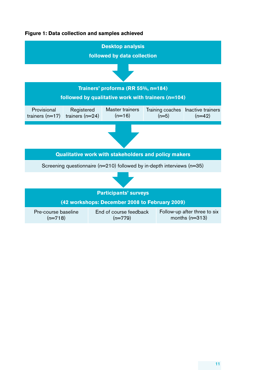#### **Figure 1: Data collection and samples achieved**

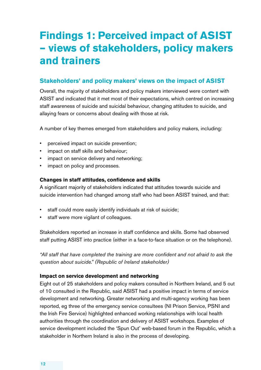# **Findings 1: Perceived impact of ASIST – views of stakeholders, policy makers and trainers**

# **Stakeholders' and policy makers' views on the impact of ASIST**

Overall, the majority of stakeholders and policy makers interviewed were content with ASIST and indicated that it met most of their expectations, which centred on increasing. staff awareness of suicide and suicidal behaviour, changing attitudes to suicide, and allaying fears or concerns about dealing with those at risk.

A number of key themes emerged from stakeholders and policy makers, including:

- perceived impact on suicide prevention;
- impact on staff skills and behaviour;
- impact on service delivery and networking;
- impact on policy and processes.

#### **Changes in staff attitudes, confidence and skills**

A significant majority of stakeholders indicated that attitudes towards suicide and suicide intervention had changed among staff who had been ASIST trained, and that:

- staff could more easily identify individuals at risk of suicide;
- staff were more vigilant of colleagues.

Stakeholders reported an increase in staff confidence and skills. Some had observed staff putting ASIST into practice (either in a face-to-face situation or on the telephone).

"All staff that have completed the training are more confident and not afraid to ask the *question about suicide." (Republic of Ireland stakeholder)*

#### **Impact on service development and networking**

Eight out of 25 stakeholders and policy makers consulted in Northern Ireland, and 5 out. of. 10. consulted in the Republic, said ASIST had a positive impact in terms of service. development and networking. Greater networking and multi-agency working has been. reported, eg three of the emergency service consultees (NI Prison Service, PSNI and the Irish Fire Service) highlighted enhanced working relationships with local health. authorities through the coordination and delivery of ASIST workshops. Examples of service development included the 'Spun Out' web-based forum in the Republic, which a stakeholder in Northern Ireland is also in the process of developing.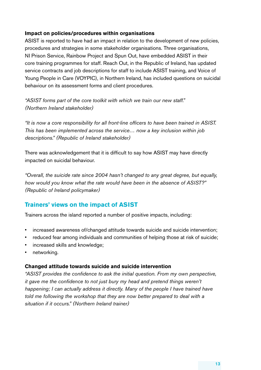#### **Impact on policies/procedures within organisations**

ASIST is reported to have had an impact in relation to the development of new policies, procedures and strategies in some stakeholder organisations. Three organisations, NI Prison Service, Rainbow Project and Spun Out, have embedded ASIST in their core training programmes for staff. Reach Out, in the Republic of Ireland, has updated service contracts and job descriptions for staff to include ASIST training, and Voice of Young People in Care (VOYPIC), in Northern Ireland, has included questions on suicidal. behaviour on its assessment forms and client procedures.

"ASIST forms part of the core toolkit with which we train our new staff." *(Northern Ireland stakeholder)*

"It is now a core responsibility for all front-line officers to have been trained in ASIST. *This* has been implemented across the service... now a key inclusion within job *descriptions." (Republic of Ireland stakeholder)*

There was acknowledgement that it is difficult to say how ASIST may have directly. impacted on suicidal behaviour.

"Overall, the suicide rate since 2004 hasn't changed to any great degree, but equally, how would you know what the rate would have been in the absence of ASIST?" *(Republic of Ireland policymaker)* 

# **Trainers' views on the impact of ASIST**

Trainers across the island reported a number of positive impacts, including:

- increased awareness of/changed attitude towards suicide and suicide intervention;
- reduced fear among individuals and communities of helping those at risk of suicide;
- increased skills and knowledge;
- networking.

#### **Changed attitude towards suicide and suicide intervention**

"ASIST provides the confidence to ask the initial question. From my own perspective, *it* gave me the confidence to not just bury my head and pretend things weren't *happening;* I can actually address it directly. Many of the people I have trained have *told* me following the workshop that they are now better prepared to deal with a situation if it occurs." (Northern Ireland trainer)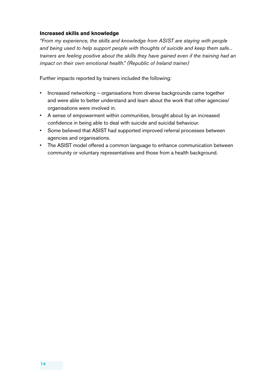#### **Increased skills and knowledge**

*"From my experience, the skills and knowledge from ASIST are staying with people* and being used to help support people with thoughts of suicide and keep them safe... *trainers are feeling positive about the skills they have gained even if the training had an impact on their own emotional health.*" (Republic of Ireland trainer)

Further impacts reported by trainers included the following:

- Increased networking organisations from diverse backgrounds came together and were able to better understand and learn about the work that other agencies/ organisations were involved in.
- A sense of empowerment within communities, brought about by an increased confidence in being able to deal with suicide and suicidal behaviour.
- Some believed that ASIST had supported improved referral processes between. agencies and organisations.
- The ASIST model offered a common language to enhance communication between community or voluntary representatives and those from a health background.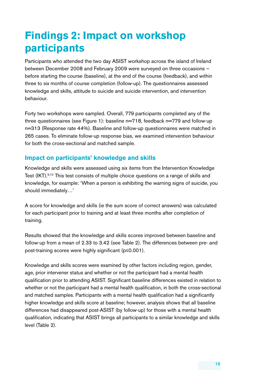# **Findings 2: Impact on workshop participants**

Participants who attended the two.day ASIST workshop across the island of Ireland between.December 2008 and February. 2009 were surveyed on three occasions before starting the course (baseline), at the end of the course (feedback), and within three to six months of course completion (follow-up). The questionnaires assessed knowledge and skills, attitude to suicide and suicide intervention, and intervention behaviour.

Forty two workshops were sampled. Overall, 779 participants completed any of the. three questionnaires (see Figure 1): baseline  $n=718$ , feedback  $n=779$  and follow-up. n=313 (Response rate 44%). Baseline and follow-up questionnaires were matched in 265 cases. To eliminate follow-up response bias, we examined intervention behaviour. for both the cross-sectional and matched sample.

# **Impact on participants' knowledge and skills**

Knowledge and skills were assessed using six items from the Intervention Knowledge. Test (IKT).<sup>9,10</sup> This test consists of multiple choice questions on a range of skills and. knowledge, for example: 'When a person is exhibiting the warning signs of suicide, you. should immediately...'

A score for knowledge and skills (ie the sum score of correct answers) was calculated. for each participant prior to training and at least three months after completion of training.

Results showed that the knowledge and skills scores improved between baseline and. follow-up from a mean of 2.33 to 3.42 (see Table 2). The differences between pre- and post-training scores were highly significant (p≤0.001).

Knowledge and skills scores were examined by other factors including region, gender, age, prior intervener status and whether or not the participant had a mental health. qualification prior to attending ASIST. Significant baseline differences existed in relation to. whether or not the participant had a mental health qualification, in both the cross-sectional and matched samples. Participants with a mental health qualification had a significantly higher knowledge and skills score at baseline; however, analysis shows that all baseline differences had disappeared post-ASIST (by follow-up) for those with a mental health. qualification, indicating that ASIST brings all participants to a similar knowledge and skills. level (Table 2).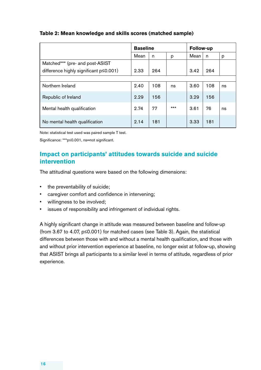#### **Table 2: Mean knowledge and skills scores (matched sample)**

|                                        | <b>Baseline</b> |     |       | Follow-up |     |    |
|----------------------------------------|-----------------|-----|-------|-----------|-----|----|
|                                        | Mean            | n   | p     | Mean      | n   | p  |
| Matched*** (pre- and post-ASIST        |                 |     |       |           |     |    |
| difference highly significant p≤0.001) | 2.33            | 264 |       | 3.42      | 264 |    |
|                                        |                 |     |       |           |     |    |
| Northern Ireland                       | 2.40            | 108 | ns    | 3.60      | 108 | ns |
| Republic of Ireland                    | 2.29            | 156 |       | 3.29      | 156 |    |
| Mental health qualification            | 2.74            | 77  | $***$ | 3.61      | 76  | ns |
| No mental health qualification         | 2.14            | 181 |       | 3.33      | 181 |    |

Note: statistical test used was paired sample T test.

Significance: \*\*\*p≤0.001, ns=not significant.

# **Impact on participants' attitudes towards suicide and suicide intervention**

The attitudinal questions were based on the following dimensions:

- the preventability of suicide;
- caregiver comfort and confidence in intervening;
- willingness to be involved;
- issues of responsibility and infringement of individual rights.

A highly significant change in attitude was measured between baseline and follow-up. (from 3.67 to 4.07,  $p \le 0.001$ ) for matched cases (see Table 3). Again, the statistical differences between those with and without a mental health qualification, and those with and without prior intervention experience at baseline, no longer exist at follow-up, showing. that ASIST brings all participants to a similar level in terms of attitude, regardless of prior. experience..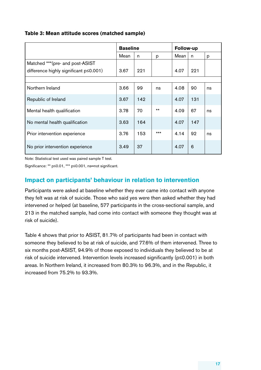#### **Table 3: Mean attitude scores (matched sample)**

|                                          | <b>Baseline</b> |     |       | <b>Follow-up</b> |     |    |
|------------------------------------------|-----------------|-----|-------|------------------|-----|----|
|                                          | Mean            | n   | p     | Mean             | n   | р  |
| Matched *** (pre- and post-ASIST         |                 |     |       |                  |     |    |
| difference highly significant p < 0.001) | 3.67            | 221 |       | 4.07             | 221 |    |
|                                          |                 |     |       |                  |     |    |
| Northern Ireland                         | 3.66            | 99  | ns    | 4.08             | 90  | ns |
| Republic of Ireland                      | 3.67            | 142 |       | 4.07             | 131 |    |
| Mental health qualification              | 3.78            | 70  | $***$ | 4.09             | 67  | ns |
| No mental health qualification           | 3.63            | 164 |       | 4.07             | 147 |    |
| Prior intervention experience            | 3.76            | 153 | $***$ | 4.14             | 92  | ns |
| No prior intervention experience         | 3.49            | 37  |       | 4.07             | 6   |    |

Note: Statistical test used was paired sample T test.

Significance: \*\*  $p \le 0.01$ , \*\*\*  $p \le 0.001$ , ns=not significant.

# **Impact on participants' behaviour in relation to intervention**

Participants.were asked at baseline whether they ever came into contact with anyone. they felt was at risk of suicide. Those who said yes were then asked whether they had. intervened or helped (at baseline, 577 participants in the cross-sectional sample, and 213 in the matched sample, had come into contact with someone they thought was at risk of suicide).

Table 4 shows that prior to ASIST, 81.7% of participants had been in contact with. someone they believed to be at risk of suicide, and 77.6% of them intervened. Three to six months post-ASIST, 94.9% of those exposed to individuals they believed to be at risk of suicide intervened. Intervention levels increased significantly ( $p \le 0.001$ ) in both areas. In Northern Ireland, it increased from 80.3% to 96.3%, and in the Republic, it increased.from.75.2%.to.93.3%..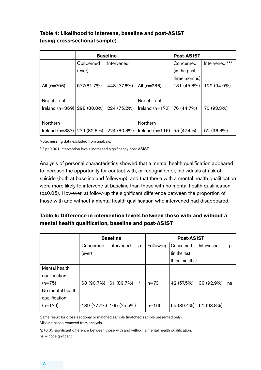### **Table 4: Likelihood to intervene, baseline and post-ASIST (using cross-sectional sample)**

|                                                            |            | <b>Baseline</b> |                                          | <b>Post-ASIST</b> |                   |
|------------------------------------------------------------|------------|-----------------|------------------------------------------|-------------------|-------------------|
|                                                            | Concerned  | Intervened      |                                          | Concerned         | ***<br>Intervened |
|                                                            | (ever)     |                 |                                          | (in the past      |                   |
|                                                            |            |                 |                                          | three months)     |                   |
| All (n=706)                                                | 577(81.7%) | 448 (77.6%)     | All $(n=286)$                            | 131 (45.8%)       | 122 (94.9%)       |
| Republic of<br>Ireland (n=369)   298 (80.8%)   224 (75.2%) |            |                 | Republic of<br>Ireland $(n=170)$         | 76 (44.7%)        | 70 (93.3%)        |
| Northern<br>Ireland (n=337)   279 (82.8%)                  |            | 224 (80.3%)     | Northern<br>Ireland $(n=116)$ 55 (47.4%) |                   | 52 (96.3%)        |

Note: missing data excluded from analysis.

\*\*\* p≤0.001 intervention levels increased significantly post-ASIST.

Analysis of personal characteristics showed that a mental health qualification appeared. to increase the opportunity for contact with, or recognition of, individuals at risk of suicide (both at baseline and follow-up), and that those with a mental health qualification. were more likely to intervene at baseline than those with no mental health qualification (p≤0.05). However, at follow-up the significant difference between the proportion of those with and without a mental health qualification who intervened had disappeared.

### **Table 5: Difference in intervention levels between those with and without a mental health qualification, baseline and post-ASIST**

|                  | <b>Baseline</b> |                         |          |           | <b>Post-ASIST</b> |            |    |
|------------------|-----------------|-------------------------|----------|-----------|-------------------|------------|----|
|                  | Concerned       | Intervened              | p        | Follow-up | Concerned         | Intervened | p  |
|                  | (ever)          |                         |          |           | (in the last      |            |    |
|                  |                 |                         |          |           | three months)     |            |    |
| Mental health    |                 |                         |          |           |                   |            |    |
| qualification    |                 |                         |          |           |                   |            |    |
| $(n=75)$         | 68 (90.7%)      | 61 (89.7%)              | $^\star$ | $n = 73$  | 42 (57.5%)        | 39 (92.9%) | ns |
| No mental health |                 |                         |          |           |                   |            |    |
| qualification    |                 |                         |          |           |                   |            |    |
| $(n=179)$        |                 | 139 (77.7%) 105 (75.5%) |          | $n = 165$ | 65 (39.4%)        | 61 (93.8%) |    |

Same result for cross-sectional or matched sample (matched sample presented only). Missing cases removed from analysis.

\*p≤0.05 significant difference between those with and without a mental health qualification.  $ns = not$  significant.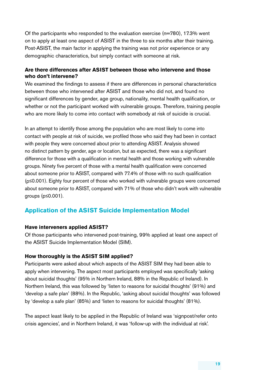Of the participants who responded to the evaluation exercise (n=780), 17.3% went. on to apply at least one aspect of ASIST in the three to six months after their training. Post-ASIST, the main factor in applying the training was not prior experience or any. demographic characteristics, but simply contact with someone at risk.

#### **Are there differences after ASIST between those who intervene and those who don't intervene?**

We examined the findings to assess if there are differences in personal characteristics. between those who intervened after ASIST and those who did not, and found no. significant differences by gender, age group, nationality, mental health qualification, or. whether or not the participant worked with vulnerable groups. Therefore, training people. who are more likely to come into contact with somebody at risk of suicide is crucial.

In an attempt to identify those among the population who are most likely to come into. contact with people at risk of suicide, we profiled those who said they had been in contact. with people they were concerned about prior to attending ASIST. Analysis showed. no. distinct pattern by gender, age or location, but as expected, there was a significant. difference for those with a qualification in mental health and those working with vulnerable. groups. Ninety five percent of those with a mental health qualification were concerned about someone prior to ASIST, compared with 77.4% of those with no such qualification  $(p \le 0.001)$ . Eighty four percent of those who.worked with vulnerable groups were concerned about someone prior to ASIST, compared with 71% of those who didn't work with vulnerable groups  $(p \le 0.001)$ .

# **Application of the ASIST Suicide Implementation Model**

#### **Have interveners applied ASIST?**

Of those participants who intervened post-training, 99% applied at least one aspect of the ASIST Suicide Implementation Model (SIM).

#### **How thoroughly is the ASIST SIM applied?**

Participants were asked about which aspects of the ASIST SIM they had been able to. apply when intervening. The aspect most participants employed was specifically 'asking about suicidal thoughts' (95% in Northern Ireland, 88% in the Republic of Ireland). In Northern Ireland, this was followed by 'listen to reasons for suicidal thoughts' (91%) and 'develop a safe plan' (88%). In the Republic, 'asking about suicidal thoughts' was followed by 'develop a safe plan' (85%) and 'listen to reasons for suicidal thoughts' (81%).

The aspect least likely to be applied in the Republic of Ireland was 'signpost/refer onto. crisis agencies', and in Northern Ireland, it was 'follow-up with the individual at risk'.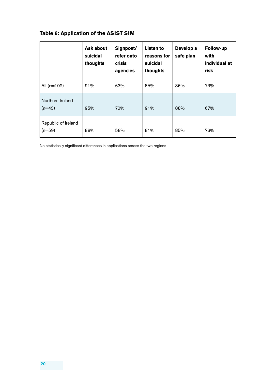# **Table 6: Application of the ASIST SIM**

|                                 | Ask about<br>suicidal<br>thoughts | Signpost/<br>refer onto<br><b>crisis</b><br>agencies | Listen to<br>reasons for<br>suicidal<br>thoughts | Develop a<br>safe plan | Follow-up<br>with<br>individual at<br>risk |
|---------------------------------|-----------------------------------|------------------------------------------------------|--------------------------------------------------|------------------------|--------------------------------------------|
| All $(n=102)$                   | 91%                               | 63%                                                  | 85%                                              | 86%                    | 73%                                        |
| Northern Ireland<br>$(n=43)$    | 95%                               | 70%                                                  | 91%                                              | 88%                    | 67%                                        |
| Republic of Ireland<br>$(n=59)$ | 88%                               | 58%                                                  | 81%                                              | 85%                    | 76%                                        |

No statistically significant differences in applications across the two regions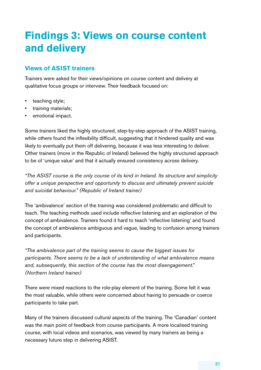# **Findings 3: Views on course content and delivery**

# **Views of ASIST trainers**

Trainers were asked for their views/opinions on course content and delivery at. qualitative focus groups or interview. Their feedback focused on:

- teaching style;
- training materials;
- emotional impact.

Some trainers liked the highly structured, step-by-step approach of the ASIST training, while others found the inflexibility difficult, suggesting that it hindered quality and was. likely to eventually put them off delivering, because it was less interesting to deliver. Other trainers (more in the Republic of Ireland) believed the highly structured approach. to be of 'unique value' and that it actually ensured consistency across delivery.

"The ASIST course is the only course of its kind in Ireland. Its structure and simplicity offer a unique perspective and opportunity to discuss and ultimately prevent suicide and suicidal behaviour." (Republic of Ireland trainer)

The 'ambivalence' section of the training was considered problematic and difficult to. teach. The teaching methods used include reflective listening and an exploration of the. concept of ambivalence. Trainers found it hard to teach 'reflective listening' and found the concept of ambivalence ambiguous and vague, leading to confusion among trainers. and participants.

*"The ambivalence part of the training seems to cause the biggest issues for*  participants. There seems to be a lack of understanding of what ambivalence means and, subsequently, this section of the course has the most disengagement." *(Northern Ireland trainer)* 

There were mixed reactions to the role-play element of the training. Some felt it was. the most valuable, while others were concerned about having to persuade or coerce participants to take part.

Many of the trainers discussed cultural aspects of the training. The 'Canadian' content. was the main point of feedback from course participants. A more localised training course, with local videos and scenarios, was viewed by many trainers as being a. necessary future step in delivering ASIST.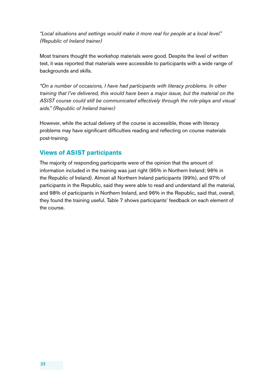*"Local situations and settings would make it more real for people at a local level." (Republic of Ireland trainer)*

Most trainers thought the workshop materials were good. Despite the level of written. text, it was reported that materials were accessible to participants with a wide range of backgrounds and skills.

*"On a number of occasions, I have had participants with literacy problems. In other training that I've delivered, this would have been a major issue, but the material on the* ASIST course could still be communicated effectively through the role-plays and visual *aids." (Republic of Ireland trainer)*

However, while the actual delivery of the course is accessible, those with literacy. problems may have significant difficulties reading and reflecting on course materials. post-training.

# **Views of ASIST participants**

The majority of responding participants were of the opinion that the amount of. information included in the training was just right (95% in Northern Ireland; 96% in the Republic of Ireland). Almost all Northern Ireland participants (99%), and 97% of participants in the Republic, said they were able to read and understand all the material, and 98% of participants in Northern Ireland, and 96% in the Republic, said that, overall, they found the training useful. Table 7 shows participants' feedback on each element of the course.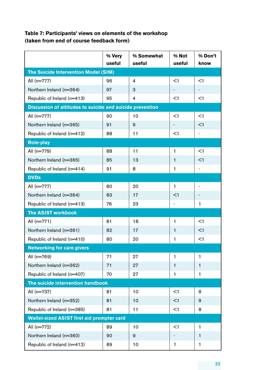### **Table 7: Participants' views on elements of the workshop (taken from end of course feedback form)**

|                                                           | % Very | % Somewhat     | % Not                    | % Don't                      |  |  |
|-----------------------------------------------------------|--------|----------------|--------------------------|------------------------------|--|--|
|                                                           | useful | useful         | useful                   | know                         |  |  |
| <b>The Suicide Intervention Model (SIM)</b>               |        |                |                          |                              |  |  |
| All (n=777)                                               | 96     | $\overline{4}$ | $\leq$ 1                 | <1                           |  |  |
| Northern Ireland (n=364)                                  | 97     | 3              | $\overline{\phantom{a}}$ | $\overline{\phantom{a}}$     |  |  |
| Republic of Ireland (n=413)                               | 95     | $\overline{4}$ | <1                       | <1                           |  |  |
| Discussion of attitudes to suicide and suicide prevention |        |                |                          |                              |  |  |
| All (n=777)                                               | 90     | 10             | <1                       | <1                           |  |  |
| Northern Ireland (n=365)                                  | 91     | 9              |                          | $<$ 1                        |  |  |
| Republic of Ireland (n=412)                               | 88     | 11             | $<$ 1                    | $\overline{\phantom{a}}$     |  |  |
| <b>Role-play</b>                                          |        |                |                          |                              |  |  |
| All (n=779)                                               | 88     | 11             | 1                        | $<$ 1                        |  |  |
| Northern Ireland (n=365)                                  | 85     | 13             | 1                        | $<$ 1                        |  |  |
| Republic of Ireland (n=414)                               | 91     | 8              | 1                        | $\qquad \qquad \blacksquare$ |  |  |
| <b>DVDs</b>                                               |        |                |                          |                              |  |  |
| All (n=777)                                               | 80     | 20             | 1                        |                              |  |  |
| Northern Ireland (n=364)                                  | 83     | 17             | $<$ 1                    | $\overline{\phantom{a}}$     |  |  |
| Republic of Ireland (n=413)                               | 76     | 23             |                          | 1                            |  |  |
| <b>The ASIST workbook</b>                                 |        |                |                          |                              |  |  |
| All $(n=771)$                                             | 81     | 18             | 1                        | <1                           |  |  |
| Northern Ireland (n=361)                                  | 82     | 17             | 1                        | <1                           |  |  |
| Republic of Ireland (n=410)                               | 80     | 20             | 1                        | <1                           |  |  |
| <b>Networking for care givers</b>                         |        |                |                          |                              |  |  |
| All (n=769)                                               | 71     | 27             | $\mathbf{1}$             | 1                            |  |  |
| Northern Ireland (n=362)                                  | 71     | 27             | 1                        | 1                            |  |  |
| Republic of Ireland (n=407)                               | 70     | 27             | 1                        | 1                            |  |  |
| The suicide intervention handbook                         |        |                |                          |                              |  |  |
| All (n=737)                                               | 81     | 10             | $<$ 1                    | 8                            |  |  |
| Northern Ireland (n=352)                                  | 81     | 10             | $<$ 1                    | 9                            |  |  |
| Republic of Ireland (n=385)                               | 81     | 11             | $<$ 1                    | 8                            |  |  |
| <b>Wallet-sized ASIST first aid prompter card</b>         |        |                |                          |                              |  |  |
| All (n=772)                                               | 89     | 10             | $<$ 1                    | 1                            |  |  |
| Northern Ireland (n=360)                                  | 90     | 9              |                          | 1                            |  |  |
| Republic of Ireland (n=412)                               | 89     | 10             | 1                        | 1                            |  |  |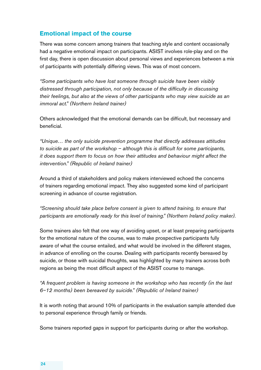### **Emotional impact of the course**

There was some concern among trainers that teaching style and content occasionally. had a negative emotional impact on participants. ASIST involves role-play and on the first day, there is open discussion about personal views and experiences between a mix. of participants with potentially differing views. This was of most concern.

"Some participants who have lost someone through suicide have been visibly distressed through participation, not only because of the difficulty in discussing *their feelings, but also at the views of other participants who may view suicide as an immoral act." (Northern Ireland trainer)*

Others acknowledged that the emotional demands can be difficult, but necessary and beneficial..

"Unique... the only suicide prevention programme that directly addresses attitudes *to suicide as part of the workshop – although this is difficult for some participants, it* does support them to focus on how their attitudes and behaviour might affect the *intervention.*" (Republic of Ireland trainer)

Around a third of stakeholders and policy makers interviewed echoed the concerns. of trainers regarding emotional impact. They also suggested some kind of participant. screening in advance of course registration.

"Screening should take place before consent is given to attend training, to ensure that participants are emotionally ready for this level of training." (Northern Ireland policy maker).

Some trainers also felt that one way of avoiding upset, or at least preparing participants. for the emotional nature of the course, was to make prospective participants fully. aware of what the course entailed, and what would be involved in the different stages, in advance of enrolling on the course. Dealing with participants recently bereaved by. suicide, or those with suicidal thoughts, was highlighted by many trainers across both. regions as being the most difficult aspect of the ASIST course to manage.

"A frequent problem is having someone in the workshop who has recently (in the last *6–12 months) been bereaved by suicide." (Republic of Ireland trainer)* 

It is worth noting that around 10% of participants in the evaluation sample attended due to personal experience through family or friends.

Some trainers reported gaps in support for participants during or after the workshop.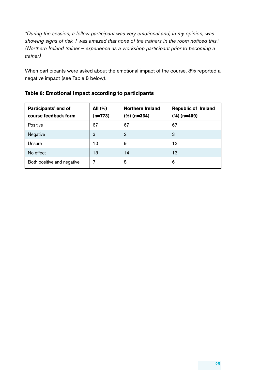"During the session, a fellow participant was very emotional and, in my opinion, was showing signs of risk. I was amazed that none of the trainers in the room noticed this." *(Northern Ireland trainer - experience as a workshop participant prior to becoming a trainer)*

When participants were asked about the emotional impact of the course, 3% reported a negative impact (see Table 8 below).

| Participants' end of<br>course feedback form | All (%)<br>$(n=773)$ | <b>Northern Ireland</b><br>$(\%)$ (n=364) | <b>Republic of Ireland</b><br>$(\%)(n=409)$ |
|----------------------------------------------|----------------------|-------------------------------------------|---------------------------------------------|
| Positive                                     | 67                   | 67                                        | 67                                          |
| Negative                                     | 3                    | $\overline{2}$                            | 3                                           |
| Unsure                                       | 10                   | 9                                         | 12                                          |
| No effect                                    | 13                   | 14                                        | 13                                          |
| Both positive and negative                   | 7                    | 8                                         | 6                                           |

#### **Table 8: Emotional impact according to participants**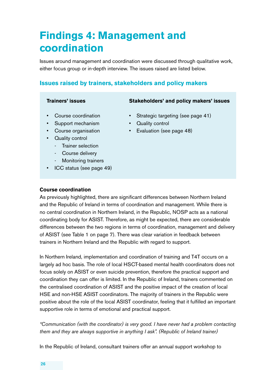# **Findings 4: Management and coordination**

Issues around management and coordination were discussed through qualitative work, either focus group or in-depth interview. The issues raised are listed below.

# **Issues raised by trainers, stakeholders and policy makers**

- 
- 
- Support mechanism Quality control
- 
- **Quality control** 
	- Trainer selection
	- Course delivery
	- Monitoring trainers
- ICC status (see page 49)

#### **Trainers' issues Stakeholders' and policy makers' issues**

- Course coordination Strategic targeting (see page 41)
	-
- Course organisation Evaluation (see page 48)

#### **Course coordination**

As previously highlighted, there are significant differences between Northern Ireland. and the Republic of Ireland in terms of coordination and management. While there is no central coordination in Northern Ireland, in the Republic, NOSP acts as a national coordinating body for ASIST. Therefore, as might be expected, there are considerable differences between the two regions in terms of coordination, management and delivery of ASIST (see Table 1 on page 7). There was clear variation in feedback between. trainers in Northern Ireland and the Republic with regard to support.

In. Northern Ireland, implementation and coordination of training and T4T occurs on a largely ad hoc basis. The role of local HSCT-based mental health coordinators does not. focus solely on ASIST or even suicide prevention, therefore the practical support and. coordination they can offer is limited. In the Republic of Ireland, trainers commented on the centralised coordination of ASIST and the positive impact of the creation of local HSE and non-HSE ASIST coordinators. The majority of trainers in the Republic were. positive about the role of the local ASIST coordinator, feeling that it fulfilled an important supportive role in terms of emotional and practical support.

### "Communication (with the coordinator) is very good. I have never had a problem contacting *them and they are always supportive in anything I ask". (Republic of Ireland trainer)*

In the Republic of Ireland, consultant trainers offer an annual support workshop to.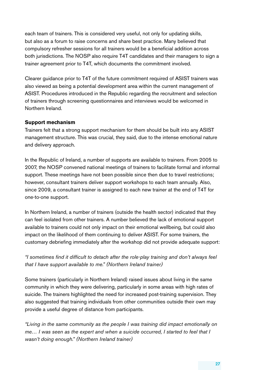each team of trainers. This is considered very useful, not only for updating skills, but also as a forum to raise concerns and share best practice. Many believed that compulsory refresher sessions for all trainers would be a beneficial addition across. both jurisdictions. The NOSP also require T4T candidates and their managers to sign a trainer agreement prior to T4T, which documents the commitment involved.

Clearer.guidance.prior.to.T4T of the future.commitment.required.of.ASIST.trainers.was. also viewed as being a potential development area within the current management of. ASIST. Procedures introduced in the Republic regarding the recruitment and selection. of trainers through screening questionnaires and interviews would be welcomed in. Northern Ireland.

#### **Support mechanism**

Trainers felt that a strong support mechanism for them should be built into any ASIST management structure. This was crucial, they said, due to the intense emotional nature. and delivery approach.

In the Republic of Ireland, a number of supports are available to trainers. From 2005 to 2007, the NOSP convened national meetings of trainers to facilitate formal and informal support. These meetings have not been possible since then due to travel restrictions; however, consultant trainers deliver support workshops to each team annually. Also, since 2009, a consultant trainer is assigned to each new trainer at the end of T4T for. one-to-one support.

In. Northern Ireland, a number of trainers (outside the health sector) indicated that they. can feel isolated from other trainers. A number believed the lack of emotional support available to trainers could not only impact on their emotional wellbeing, but could also. impact on the likelihood of them.continuing to deliver ASIST. For some trainers, the. customary debriefing immediately after the workshop did not provide adequate support:

"I sometimes find it difficult to detach after the role-play training and don't always feel *that I have support available to me.*" (Northern Ireland trainer)

Some trainers (particularly in Northern Ireland) raised issues about living in the same. community in which they were delivering, particularly in some areas with high rates of suicide. The trainers highlighted the need for increased post-training supervision. They also suggested that training individuals from other communities outside their own may provide a useful degree of distance from participants.

*"Living* in the same community as the people I was training did impact emotionally on *me...* I was seen as the expert and when a suicide occurred, I started to feel that I wasn't doing enough." (Northern Ireland trainer)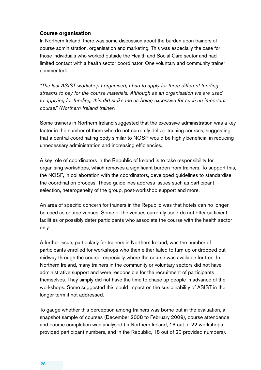#### **Course organisation**

In Northern Ireland, there was some discussion about the burden upon trainers of course administration, organisation and marketing. This was especially the case for. those individuals who.worked outside the Health and Social Care sector and had. limited contact with a health sector coordinator. One voluntary and community trainer commented:

"The last ASIST workshop I organised, I had to apply for three different funding streams to pay for the course materials. Although as an organisation we are used to applying for funding, this did strike me as being excessive for such an important *course." (Northern Ireland trainer)*

Some trainers in Northern Ireland suggested that the excessive administration was a key factor in the number of them who.do.not currently deliver training courses, suggesting. that a central coordinating body similar to NOSP would be highly beneficial in reducing unnecessary administration and increasing efficiencies.

A key role of coordinators in the Republic of Ireland is to take responsibility for. organising workshops, which removes a significant burden from trainers. To support this, the NOSP, in collaboration with the coordinators, developed guidelines to standardise. the coordination process. These guidelines address issues such as participant. selection, heterogeneity of the group, post-workshop support and more.

An area of specific concern for trainers in the Republic was that hotels can no longer. be used as course venues. Some of the venues currently used do not offer sufficient facilities or possibly deter participants who associate the course with the health sector. only.

A further issue, particularly for trainers in Northern Ireland, was the number of participants enrolled for workshops who then either failed to turn up or dropped out. midway through the course, especially where the course was available for free. In Northern Ireland, many trainers in the community or voluntary sectors did not have. administrative. support and were responsible for the recruitment of participants. themselves. They simply did not have the time to chase up people in advance of the. workshops. Some suggested this could impact on the sustainability of ASIST in the. longer term if not addressed.

To gauge whether this perception among trainers was borne out in the evaluation, a. snapshot sample of courses (December 2008 to February 2009), course attendance and course completion was analysed (in Northern Ireland, 16 out of 22 workshops. provided participant numbers, and in the Republic, 18 out of 20 provided numbers).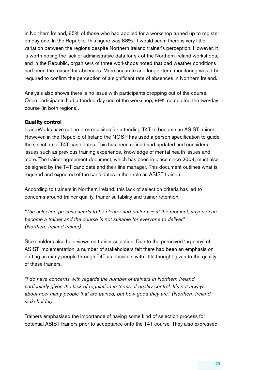In. Northern. Ireland, 85% of those who.had.applied.for.a.workshop.turned.up.to.register. on day one. In the Republic, this figure was 88%. It would seem there is very little variation between the regions despite Northern Ireland trainer's perception. However, it. is. worth noting the lack of administrative data for six of the Northern Ireland workshops, and in the Republic, organisers of three workshops noted that bad weather conditions. had been the reason for absences. More accurate and longer-term monitoring would be required to confirm the perception of a significant rate of absences in Northern Ireland.

Analysis also shows there is no issue with participants dropping out of the course. Once participants had attended day one of the workshop, 99% completed the two-day. course (in both regions).

#### **Quality control**

Living Works have set no.pre-requisites for attending T4T to become an ASIST trainer. However, in the Republic of Ireland the NOSP has used a person specification to guide. the selection of T4T candidates. This has been refined and updated and considers. issues such as previous training experience, knowledge of mental health issues and. more. The trainer agreement document, which has been in place since 2004, must also. be signed by the T4T candidate and their line manager. This document outlines what is. required and expected of the candidates in their role as ASIST trainers.

According to trainers in Northern Ireland, this lack of selection criteria has led to. concerns around trainer quality, trainer suitability and trainer retention.

*"The selection process needs to be clearer and uniform – at the moment, anyone can become a trainer and the course is not suitable for everyone to deliver." (Northern Ireland trainer)*

Stakeholders also.held views on trainer selection. Due to the perceived 'urgency' of. ASIST implementation, a number of stakeholders felt there had been an emphasis on. putting as many people through T4T as possible, with little thought given to the quality. of these trainers.

*"I do have concerns with regards the number of trainers in Northern Ireland –*  particularly given the lack of regulation in terms of quality control. It's not always about how many people that are trained, but how good they are." (Northern Ireland *stakeholder)* 

Trainers emphasised the importance of having some kind of selection process for. potential ASIST trainers prior to acceptance onto the T4T course. They also expressed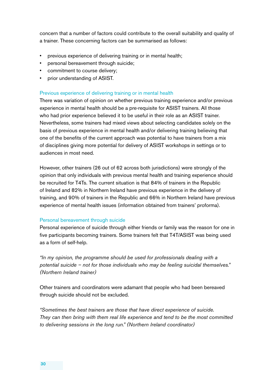concern that a number of factors could contribute to the overall suitability and quality of a trainer. These concerning factors can be summarised as follows:

- previous experience of delivering training or in mental health;
- personal bereavement through suicide;
- commitment to course delivery;
- prior understanding of ASIST.

#### Previous experience of delivering training or in mental health.

There was variation of opinion on whether previous training experience and/or previous. experience in mental health should be a pre-requisite for ASIST trainers. All those who had prior experience believed it to be useful in their role as an ASIST trainer. Nevertheless, some trainers had mixed views about selecting candidates solely on the. basis of previous experience in mental health and/or delivering training believing that. one of the benefits of the current approach was potential to have trainers from a mix. of disciplines giving more potential for delivery of ASIST workshops in settings or to. audiences in most need.

However, other trainers (26 out of 62 across both jurisdictions) were strongly of the. opinion that only individuals with previous mental health and training experience should. be recruited for T4Ts. The current situation is that 84% of trainers in the Republic of Ireland and 82% in Northern Ireland have previous experience in the delivery of training, and 90% of trainers in the Republic and 66% in Northern Ireland have previous. experience of mental health issues (information obtained from trainers' proforma).

#### Personal bereavement through suicide

Personal experience of suicide through either friends or family was the reason for one in. five participants becoming trainers. Some trainers felt that T4T/ASIST was being used. as a form of self-help.

*"In my opinion, the programme should be used for professionals dealing with a* potential suicide – not for those individuals who may be feeling suicidal themselves." *(Northern Ireland trainer)*

Other trainers and coordinators were adamant that people who had been bereaved. through suicide should not be excluded.

"Sometimes the best trainers are those that have direct experience of suicide. They can then bring with them real life experience and tend to be the most committed *to delivering sessions in the long run." (Northern Ireland coordinator)*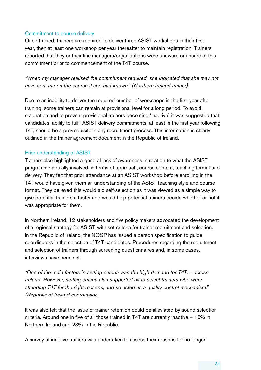#### Commitment to course delivery

Once trained, trainers are required to deliver three ASIST workshops in their first. year, then at least one workshop per year thereafter to maintain registration. Trainers reported that they or their line managers/organisations were unaware or unsure of this. commitment prior to commencement of the T4T course.

*"When my manager realised the commitment required, she indicated that she may not have sent me on the course if she had known."* (Northern Ireland trainer)

Due to an inability to deliver the required number of workshops in the first year after. training, some trainers can remain at provisional level for a long period. To avoid stagnation and to prevent provisional trainers becoming 'inactive', it was suggested that candidates' ability to fulfil ASIST delivery commitments, at least in the first year following. T4T, should be a pre-requisite in any recruitment process. This information is clearly. outlined in the trainer agreement document in the Republic of Ireland.

#### Prior understanding of ASIST

Trainers also.highlighted a general lack of awareness in relation to what the ASIST programme actually involved, in terms of approach, course content, teaching format and. delivery. They felt that prior attendance at an ASIST workshop before enrolling in the. T4T would have given them an understanding of the ASIST teaching style and course. format. They believed this would aid self-selection as it was viewed as a simple way to. give potential trainers a taster and would help potential trainers decide whether or not it. was appropriate for them.

In. Northern. Ireland, 12 stakeholders and five policy makers advocated the development. of a regional strategy for ASIST, with set criteria for trainer recruitment and selection. In the Republic of Ireland, the NOSP has issued a person specification to guide. coordinators in the selection of T4T candidates. Procedures regarding the recruitment and selection of trainers through screening questionnaires and, in some cases, interviews have been set.

"One of the main factors in setting criteria was the high demand for T4T... across *Ireland.* However, setting criteria also supported us to select trainers who were attending T4T for the right reasons, and so acted as a quality control mechanism." *(Republic of Ireland coordinator).*

It was also felt that the issue of trainer retention could be alleviated by sound selection criteria. Around one in five of all those trained in T4T are currently inactive  $-16\%$  in. Northern Ireland and 23% in the Republic.

A survey of inactive trainers was undertaken to assess their reasons for no longer.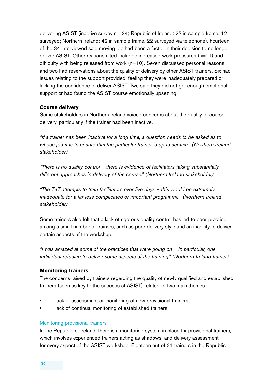delivering ASIST (inactive survey  $n=34$ ; Republic of Ireland: 27 in sample frame, 12. surveyed; Northern Ireland: 42 in sample frame, 22 surveyed via telephone). Fourteen of the 34 interviewed said moving job had been a factor in their decision to no longer. deliver ASIST. Other reasons cited included increased work pressures (n=11) and difficulty with being released from work (n=10). Seven discussed personal reasons. and two.had reservations about the quality of delivery by other ASIST trainers. Six had. issues relating to the support provided, feeling they were inadequately prepared or. lacking the confidence to deliver ASIST. Two said they did not get enough emotional support or had found the ASIST course emotionally upsetting.

#### **Course delivery**

Some stakeholders in Northern Ireland voiced concerns about the quality of course. delivery, particularly if the trainer had been inactive.

*"If a trainer has been inactive for a long time, a question needs to be asked as to* whose job it is to ensure that the particular trainer is up to scratch." (Northern Ireland *stakeholder)*

*"There is no quality control – there is evidence of facilitators taking substantially* different approaches in delivery of the course." (Northern Ireland stakeholder)

*"The T4T attempts to train facilitators over five days – this would be extremely inadequate for a far less complicated or important programme."* (Northern Ireland *stakeholder)*

Some trainers also felt that a lack of rigorous quality control has led to poor practice. among a small number of trainers, such as poor delivery style and an inability to deliver certain aspects of the workshop.

*"I* was amazed at some of the practices that were going on – in particular, one *individual refusing to deliver some aspects of the training."* (Northern Ireland trainer)

#### **Monitoring trainers**

The concerns raised by trainers regarding the quality of newly qualified and established. trainers (seen as key to the success of ASIST) related to two main themes:

- lack of assessment or monitoring of new provisional trainers;
- lack of continual monitoring of established trainers.

#### Monitoring provisional trainers

In the Republic of Ireland, there is a monitoring system in place for provisional trainers, which involves experienced trainers acting as shadows, and delivery assessment. for every aspect of the ASIST workshop. Eighteen out of 21 trainers in the Republic.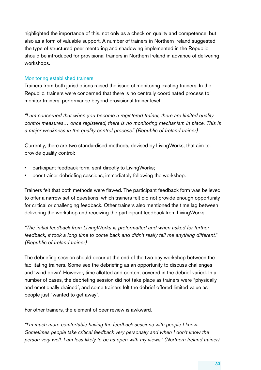highlighted the importance of this, not only as a check on quality and competence, but. also as a form of valuable support. A number of trainers in Northern Ireland suggested the type of structured peer mentoring and shadowing implemented in the Republic. should be introduced for provisional trainers in Northern Ireland in advance of delivering. workshops..

#### Monitoring established trainers

Trainers from both jurisdictions raised the issue of monitoring existing trainers. In the. Republic, trainers were concerned that there is no centrally coordinated process to. monitor trainers' performance beyond provisional trainer level.

"I am concerned that when you become a registered trainer, there are limited quality *control* measures... once registered, there is no monitoring mechanism in place. This is *a* major weakness in the quality control process." (Republic of Ireland trainer)

Currently, there are two standardised methods, devised by LivingWorks, that aim to. provide quality control:

- participant feedback form, sent directly to LivingWorks;
- peer trainer debriefing sessions, immediately following the workshop.

Trainers felt that both methods were flawed. The participant feedback form was believed to offer a narrow set of questions, which trainers felt did not provide enough opportunity. for critical or challenging feedback. Other trainers also mentioned the time lag between delivering.the.workshop.and.receiving.the.participant.feedback.from.LivingWorks.

*"The initial feedback from LivingWorks is preformatted and when asked for further feedback, it took a long time to come back and didn't really tell me anything different." (Republic of Ireland trainer)*

The debriefing session should occur at the end of the two day workshop between the. facilitating trainers. Some see the debriefing as an opportunity to discuss challenges. and 'wind down'. However, time allotted and content covered in the debrief varied. In a number of cases, the debriefing session did not take place as trainers were "physically and emotionally drained", and some trainers felt the debrief offered limited value as people just "wanted to get away".

For other trainers, the element of peer review is awkward.

*"I'm* much more comfortable having the feedback sessions with people I know. Sometimes people take critical feedback very personally and when I don't know the *person very well, I am less likely to be as open with my views." (Northern Ireland trainer)*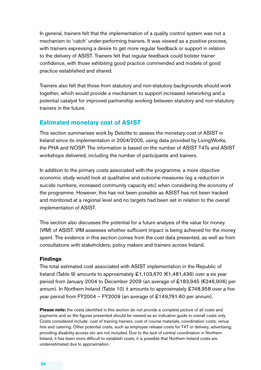In general, trainers felt that the implementation of a quality control system was not a mechanism to 'catch' under-performing trainers. It was viewed as a positive process, with trainers expressing a desire to get more regular feedback or support in relation. to the delivery of ASIST. Trainers felt that regular feedback could bolster trainer. confidence, with those exhibiting good practice commended and models of good. practice established and shared.

Trainers also felt that those from statutory and non-statutory backgrounds should work. together, which would provide a mechanism to support increased networking and a potential catalyst for improved partnership working between statutory and non-statutory trainers in the future.

### **Estimated monetary cost of ASIST**

This section summarises work by Deloitte to assess the monetary cost of ASIST in. Ireland since its implementation in 2004/2005, using data provided by LivingWorks, the. PHA and NOSP. The information is based on the number of ASIST T4Ts and ASIST. workshops.delivered, including the number of participants and trainers.

In addition to the primary costs associated with the programme, a more objective economic study would look at qualitative and outcome measures (eg a reduction in. suicide numbers, increased community capacity etc) when considering the economy of the programme. However, this has not been possible as ASIST has not been tracked. and monitored at a regional level and no targets had been set in relation to the overall implementation of ASIST.

This section also discusses the potential for a future analysis of the value for money. (VfM) of ASIST. VfM assesses whether sufficient impact is being achieved for the money. spent. The evidence in this section comes from the cost data presented, as well as from. consultations with stakeholders, policy makers and trainers across Ireland.

#### **Findings**

The total estimated cost associated with ASIST implementation in the Republic of. Ireland (Table 9) amounts to approximately £1,103,670 ( $€1,481,436$ ) over a six year. period from January 2004 to December 2009 (an average of £183,945 (€246,906) per annum). In Northern Ireland (Table 10) it amounts to approximately  $\pounds$ 748,958 over a five year period from FY2004 - FY2009 (an average of £149,791.60 per annum).

Please note: the costs identified in this section do not provide a complete picture of all costs and payments and so the figures presented should be viewed as an indicative guide to overall costs only. Costs.considered.include: cost of training trainers, cost of course materials, coordination costs, venue. hire and catering. Other potential costs, such as employee release costs for T4T or delivery, advertising, providing.disability.access.etc.are.not.included. Due to the lack of central coordination in Northern. Ireland, it has been more difficult to establish costs; it is possible that Northern Ireland costs are underestimated due to approximation.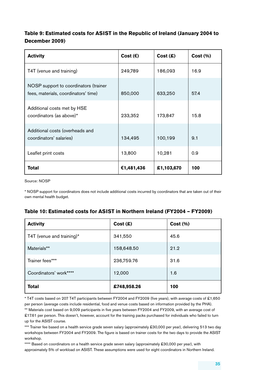### **Table 9: Estimated costs for ASIST in the Republic of Ireland (January 2004 to December 2009)**

| <b>Activity</b>                                                               | Cost $(\epsilon)$ | Cost(S)    | Cost (%) |
|-------------------------------------------------------------------------------|-------------------|------------|----------|
| T4T (venue and training)                                                      | 249,789           | 186,093    | 16.9     |
| NOSP support to coordinators (trainer<br>fees, materials, coordinators' time) | 850,000           | 633,250    | 57.4     |
| Additional costs met by HSE<br>coordinators (as above)*                       | 233,352           | 173,847    | 15.8     |
| Additional costs (overheads and<br>coordinators' salaries)                    | 134,495           | 100,199    | 9.1      |
| Leaflet print costs                                                           | 13,800            | 10,281     | 0.9      |
| Total                                                                         | €1,481,436        | £1,103,670 | 100      |

Source: NOSP

\* NOSP support for coordinators does not include additional costs incurred by coordinators that are taken out of their own mental health budget.

#### **Table 10: Estimated costs for ASIST in Northern Ireland (FY2004 – FY2009)**

| <b>Activity</b>           | Cost(S)     | Cost (%) |
|---------------------------|-------------|----------|
| T4T (venue and training)* | 341,550     | 45.6     |
| Materials**               | 158,648.50  | 21.2     |
| Trainer fees***           | 236,759.76  | 31.6     |
| Coordinators' work****    | 12,000      | 1.6      |
| <b>Total</b>              | £748,958.26 | 100      |

\* T4T costs based on 207 T4T participants between FY2004 and FY2009 (five years), with average costs of £1,650 per person (average costs include residential, food and venue costs based on information provided by the PHA).

\*\* Materials cost based on 9,009 participants in five years between FY2004 and FY2009, with an average cost of £17.61 per person. This doesn't, however, account for the training packs purchased for individuals who failed to turn up for the ASIST course.

\*\*\* Trainer fee based on a health service grade seven salary (approximately £30,000 per year), delivering 513 two day workshops.between.FY2004 and FY2009. The figure is based on trainer costs for the two.days.to.provide.the ASIST workshop.

\*\*\*\* Based on coordinators on a health service grade seven salary (approximately £30,000 per year), with approximately 5% of workload on ASIST. These assumptions were used for eight coordinators in Northern Ireland.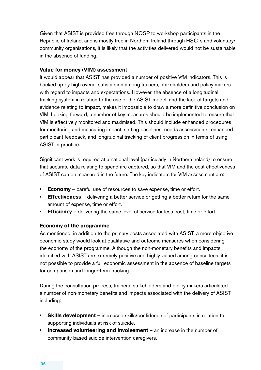Given that ASIST is provided free through NOSP to workshop participants in the. Republic of Ireland, and is mostly free in Northern Ireland through HSCTs and voluntary/ community organisations, it is likely that the activities delivered would not be sustainable. in the absence of funding.

#### **Value for money (VfM) assessment**

It would appear that ASIST has provided a number of positive VfM indicators. This is. backed up by high overall satisfaction among trainers, stakeholders and policy makers. with regard to impacts and expectations. However, the absence of a longitudinal tracking system in relation to the use of the ASIST model, and the lack of targets and evidence relating to impact, makes it impossible to draw a more definitive conclusion on. VfM. Looking forward, a number of key measures should be implemented to ensure that. VfM is effectively monitored and maximised. This should include enhanced procedures. for monitoring and measuring impact, setting baselines, needs assessments, enhanced participant feedback, and longitudinal tracking of client progression in terms of using. ASIST in practice.

Significant work is required at a national level (particularly in Northern Ireland) to ensure. that accurate data relating to spend are captured, so that VfM and the cost-effectiveness. of ASIST can be measured in the future. The key indicators for VfM assessment are:

- **Economy** careful use of resources to save expense, time or effort.
- **Effectiveness** delivering a better service or getting a better return for the same amount of expense, time or effort.
- **Efficiency** delivering the same level of service for less cost, time or effort.

#### **Economy of the programme**

As mentioned, in addition to the primary costs associated with ASIST, a more objective. economic study would look at qualitative and outcome measures when considering. the economy of the programme. Although the non-monetary benefits and impacts. identified with ASIST are extremely positive and highly valued among consultees, it is not possible to provide a full economic assessment in the absence of baseline targets. for comparison and longer-term tracking.

During the consultation process, trainers, stakeholders and policy makers articulated. a number of non-monetary benefits and impacts associated with the delivery of ASIST including:

- **Skills development** increased skills/confidence of participants in relation to. supporting individuals at risk of suicide.
- **Increased volunteering and involvement** an increase in the number of community-based suicide intervention caregivers.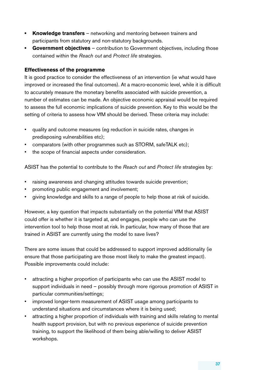- **Knowledge transfers** networking and mentoring between trainers and. participants from statutory and non-statutory backgrounds.
- Government objectives contribution to Government objectives, including those. contained within the *Reach out* and *Protect life* strategies.

#### **Effectiveness of the programme**

It is good practice to consider the effectiveness of an intervention (ie what would have. improved or increased the final outcomes). At a macro-economic level, while it is difficult to accurately measure the monetary benefits associated with suicide prevention, a number of estimates can be made. An objective economic appraisal would be required. to assess the full economic implications of suicide prevention. Key to this would be the setting of criteria to assess how VfM should be derived. These criteria may include:

- quality and outcome measures (eg reduction in suicide rates, changes in. predisposing vulnerabilities etc);
- comparators (with other programmes such as STORM, safeTALK etc);
- the scope of financial aspects under consideration.

ASIST has the potential to contribute to the Reach out and Protect life strategies by:

- raising awareness and changing attitudes towards suicide prevention;
- promoting public engagement and involvement;
- giving knowledge and skills to a range of people to help those at risk of suicide.

However, a key question that impacts substantially on the potential VfM that ASIST could offer is whether it is targeted at, and engages, people who can use the. intervention tool to help those most at risk. In particular, how many of those that are trained in ASIST are currently using the model to save lives?

There are some issues that could be addressed to support improved additionality (ie. ensure that those participating are those most likely to make the greatest impact). Possible improvements could include:

- attracting a higher proportion of participants who can use the ASIST model to. support individuals in need – possibly through more rigorous promotion of ASIST in particular communities/settings;
- improved longer-term measurement of ASIST usage among participants to. understand situations and circumstances where it is being used;
- attracting a higher proportion of individuals with training and skills relating to mental. health support provision, but with no previous experience of suicide prevention. training, to support the likelihood of them being able/willing to deliver ASIST workshops..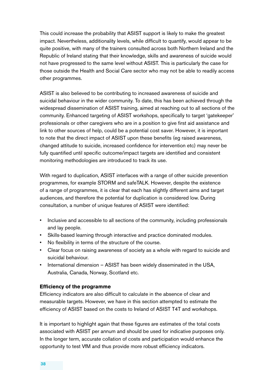This could increase the probability that ASIST support is likely to make the greatest. impact. Nevertheless, additionality levels, while difficult to quantify, would appear to be quite positive, with many of the trainers consulted across both Northern Ireland and the Republic of Ireland stating that their knowledge, skills and awareness of suicide would. not have progressed to the same level without ASIST. This is particularly the case for those outside the Health and Social Care sector who may not be able to readily access. other programmes.

ASIST is also believed to be contributing to increased awareness of suicide and suicidal behaviour in the wider community. To date, this has been achieved through the widespread dissemination of ASIST training, aimed at reaching out to all sections of the community. Enhanced targeting of ASIST workshops, specifically to target 'gatekeeper' professionals or other caregivers who are in a position to give first aid assistance and link to other sources of help, could be a potential cost saver. However, it is important. to note that the direct impact of ASIST upon these benefits (eg raised awareness, changed attitude to suicide, increased confidence for intervention etc) may never be. fully quantified until specific outcome/impact targets are identified and consistent. monitoring methodologies are introduced to track its use.

With regard to duplication, ASIST interfaces with a range of other suicide prevention. programmes, for example STORM and safeTALK. However, despite the existence. of a range of programmes, it is clear that each has slightly different aims and target. audiences, and therefore the potential for duplication is considered low. During. consultation, a number of unique features of ASIST were identified:

- Inclusive and accessible to all sections of the community, including professionals. and lay people.
- Skills-based learning through interactive and practice dominated modules.
- No flexibility in terms of the structure of the course.
- Clear focus on raising awareness of society as a whole with regard to suicide and suicidal behaviour.
- International dimension ASIST has been widely disseminated in the USA, Australia, Canada, Norway, Scotland etc.

#### **Efficiency of the programme**

Efficiency indicators are also difficult to calculate in the absence of clear and measurable targets. However, we have in this section attempted to estimate the. efficiency of ASIST based on the costs to Ireland of ASIST T4T and workshops.

It is important to highlight again that these figures are estimates of the total costs. associated with ASIST per annum and should be used for indicative purposes only. In the longer term, accurate collation of costs and participation would enhance the. opportunity to test. VfM and thus provide more robust efficiency indicators.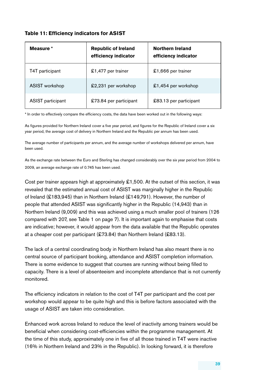#### **Table 11: Efficiency indicators for ASIST**

| Measure *                | <b>Republic of Ireland</b><br>efficiency indicator | <b>Northern Ireland</b><br>efficiency indicator |
|--------------------------|----------------------------------------------------|-------------------------------------------------|
| T4T participant          | £1,477 per trainer                                 | £1,666 per trainer                              |
| ASIST workshop           | £2,231 per workshop                                | $£1,454$ per workshop                           |
| <b>ASIST</b> participant | £73.84 per participant                             | £83.13 per participant                          |

\* In order to effectively compare the efficiency costs, the data have been worked out in the following ways:

As figures provided for Northern Ireland cover a five year period, and figures for the Republic of Ireland cover a six year.period, the average cost of delivery in Northern Ireland and the Republic per annum has been used.

The average number of participants per annum, and the average number of workshops delivered per annum, have. been.used.

As the exchange rate between the Euro and Sterling has changed considerably over the six year period from 2004 to 2009, an average exchange rate of 0.745 has been used.

Cost per trainer appears high at approximately  $£1,500$ . At the outset of this section, it was. revealed that the estimated annual cost of ASIST was marginally higher in the Republic of Ireland (£183,945) than in Northern Ireland (£149,791). However, the number of people that attended ASIST was significantly higher in the Republic (14,943) than in. Northern Ireland (9,009) and this was achieved using a much smaller pool of trainers (126 compared with 207, see Table 1 on page 7). It is important again to emphasise that costs. are indicative; however, it would appear from the data available that the Republic operates. at a cheaper cost per participant (£73.84) than Northern Ireland (£83.13).

The lack of a central coordinating body in Northern Ireland has also meant there is no. central source of participant booking, attendance and ASIST completion information. There is some evidence to suggest that courses are running without being filled to. capacity. There is a level of absenteeism and incomplete attendance that is not currently monitored.

The efficiency indicators in relation to the cost of T4T per participant and the cost per. workshop would appear to be quite high and this is before factors associated with the. usage of ASIST are taken into consideration.

Enhanced work across Ireland to reduce the level of inactivity among trainers would be. beneficial when considering cost-efficiencies within the programme management. At the time of this study, approximately one in five of all those trained in T4T were inactive. (16% in Northern Ireland and 23% in the Republic). In looking forward, it is therefore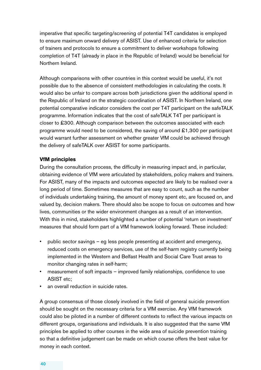imperative that specific targeting/screening of potential T4T candidates is employed. to ensure maximum onward delivery of ASIST. Use of enhanced criteria for selection of trainers and protocols to ensure a commitment to deliver workshops following. completion of T4T (already in place in the Republic of Ireland) would be beneficial for Northern Ireland.

Although comparisons with other countries in this context would be useful, it's not. possible due to the absence of consistent methodologies in calculating the costs. It would also be unfair to compare across both jurisdictions given the additional spend in the Republic of Ireland on the strategic coordination of ASIST. In Northern Ireland, one potential comparative indicator considers the cost per T4T participant on the safeTALK programme. Information indicates that the cost of safeTALK T4T per participant is closer to £300. Although comparison between the outcomes associated with each. programme would need to be considered, the saving of around  $\pounds1,300$  per participant. would warrant further assessment on whether greater VfM could be achieved through. the delivery of safeTALK over ASIST for some participants.

#### **VfM principles**

During the consultation process, the difficulty in measuring impact and, in particular, obtaining evidence of VfM were articulated by stakeholders, policy makers and trainers. For ASIST, many of the impacts and outcomes expected are likely to be realised over a long period of time. Sometimes measures that are easy to count, such as the number of individuals undertaking training, the amount of money spent etc, are focused on, and valued by, decision makers. There should also be scope to focus on outcomes and how. lives, communities or the wider environment changes as a result of an intervention. With this in mind, stakeholders highlighted a number of potential 'return on investment'. measures that should form part of a VfM framework looking forward. These included:

- public sector savings eg less people presenting at accident and emergency, reduced costs on emergency services, use of the self-harm registry currently being. implemented in the Western and Belfast Health and Social Care Trust areas to monitor changing rates in self-harm;
- measurement of soft impacts improved family relationships, confidence to use ASIST etc:
- an overall reduction in suicide rates.

A group consensus of those closely involved in the field of general suicide prevention. should be sought on the necessary criteria for a VfM exercise. Any VfM framework. could also be piloted in a number of different contexts to reflect the various impacts on. different groups, organisations and individuals. It is also suggested that the same VfM principles be applied to other courses in the wide area of suicide prevention training. so that a definitive judgement can be made on which course offers the best value for money in each context.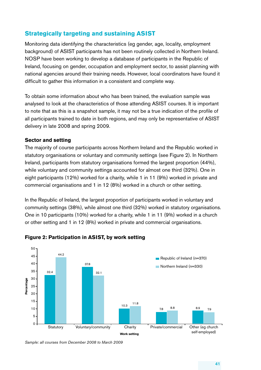# **Strategically targeting and sustaining ASIST**

Monitoring data identifying the characteristics (eg. gender, age, locality, employment. background) of ASIST participants has not been routinely collected in Northern Ireland. NOSP have been working to develop a database of participants in the Republic of. Ireland, focusing on gender, occupation and employment sector, to assist planning with. national agencies around their training needs. However, local coordinators have found it difficult to gather this information in a consistent and complete way.

To obtain some information about who has been trained, the evaluation sample was. analysed to look at the characteristics of those attending ASIST courses. It is important to note that as this is a snapshot sample, it may not be a true indication of the profile of all participants trained to date in both regions, and may only be representative of ASIST delivery in late 2008 and spring 2009.

#### **Sector and setting**

The majority of course participants across. Northern Ireland and the Republic worked in. statutory organisations or voluntary and community settings (see Figure 2). In Northern Ireland, participants from statutory organisations formed the largest proportion (44%), while voluntary and community settings accounted for almost one third (32%). One in. eight participants (12%) worked for a charity, while 1 in 11 (9%) worked in private and commercial organisations and 1 in 12 (8%) worked in a church or other setting.

In the Republic of Ireland, the largest proportion of participants worked in voluntary and. community settings (38%), while almost one third (32%) worked in statutory organisations. One in 10 participants (10%) worked for a charity, while 1 in 11 (9%) worked in a church. or other setting and 1 in 12 (8%) worked in private and commercial organisations.



#### **Figure 2: Participation in ASIST, by work setting**

Sample: all courses from December 2008 to March 2009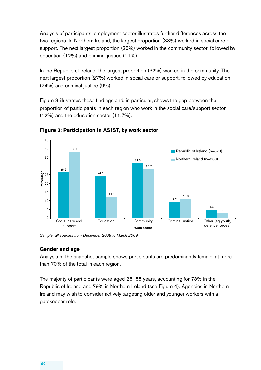Analysis of participants' employment sector illustrates further differences across the. two regions. In Northern Ireland, the largest proportion (38%) worked in social care or support. The next largest proportion (28%) worked in the community sector, followed by education (12%) and criminal justice (11%).

In the Republic of Ireland, the largest proportion (32%) worked in the community. The next largest proportion (27%) worked in social care or support, followed by education  $(24%)$  and criminal justice  $(9%)$ .

Figure 3 illustrates these findings and, in particular, shows the gap between the. proportion of participants in each region who work in the social care/support sector.  $(12\%)$  and the education sector  $(11.7\%)$ .



**Figure 3: Participation in ASIST, by work sector**

Sample: all courses from December 2008 to March 2009

#### **Gender and age**

Analysis of the snapshot sample shows participants are predominantly female, at more. than 70% of the total in each region.

The majority of participants were aged 26–55 years, accounting for 73% in the. Republic of Ireland and 79% in Northern Ireland (see Figure 4). Agencies in Northern. Ireland may wish to consider actively targeting older and younger workers with a. gatekeeper role.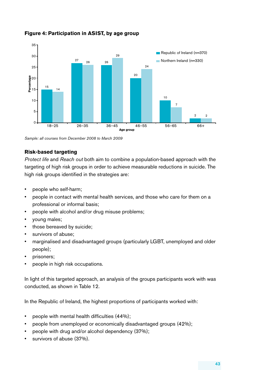

#### **Figure 4: Participation in ASIST, by age group**

Sample: all courses from December 2008 to March 2009

#### **Risk-based targeting**

*Protect life* and *Reach out* both aim to combine a population-based approach with the. targeting of high risk groups in order to achieve measurable reductions in suicide. The high risk groups identified in the strategies are:

- people who self-harm;
- people in contact with mental health services, and those who care for them on a professional or informal basis;
- people with alcohol and/or drug misuse problems;
- young males;
- those bereaved by suicide;
- survivors of abuse;
- marginalised and disadvantaged groups (particularly LGBT, unemployed and older people);
- prisoners;
- people in high risk occupations.

In light of this targeted approach, an analysis of the groups participants work with was. conducted, as shown in Table 12.

In the Republic of Ireland, the highest proportions of participants worked with:

- people with mental health difficulties  $(44%)$ ;
- people from unemployed or economically disadvantaged groups (42%);
- people with drug and/or alcohol dependency (37%);
- survivors of abuse (37%).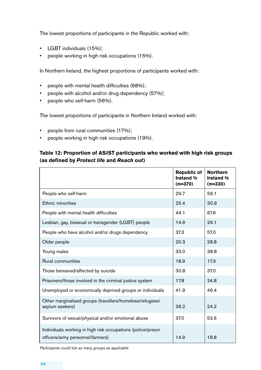The lowest proportions of participants in the Republic worked with:

- LGBT individuals (15%);
- people working in high risk occupations (15%).

In Northern Ireland, the highest proportions of participants worked with:

- people with mental health difficulties (68%);
- people with alcohol and/or drug dependency (57%);
- people who self-harm (56%).

The lowest proportions of participants in Northern Ireland worked with:

- people from rural communities (17%);
- people working in high risk occupations (19%).

### **Table 12: Proportion of ASIST participants who worked with high risk groups (as defined by** *Protect life* **and** *Reach out***)**

|                                                                                                 | <b>Republic of</b><br><b>Ireland %</b><br>$(n=370)$ | <b>Northern</b><br><b>Ireland</b> %<br>$(n=330)$ |
|-------------------------------------------------------------------------------------------------|-----------------------------------------------------|--------------------------------------------------|
| People who self-harm                                                                            | 29.7                                                | 56.1                                             |
| Ethnic minorities                                                                               | 25.4                                                | 30.9                                             |
| People with mental health difficulties                                                          | 44.1                                                | 67.6                                             |
| Lesbian, gay, bisexual or transgender (LGBT) people                                             | 14.9                                                | 29.1                                             |
| People who have alcohol and/or drugs dependency                                                 | 37.3                                                | 57.0                                             |
| Older people                                                                                    | 20.3                                                | 28.8                                             |
| Young males                                                                                     | 33.0                                                | 38.8                                             |
| Rural communities                                                                               | 18.9                                                | 17.3                                             |
| Those bereaved/affected by suicide                                                              | 30.8                                                | 37.0                                             |
| Prisoners/those involved in the criminal justice system                                         | 17.8                                                | 24.8                                             |
| Unemployed or economically deprived groups or individuals                                       | 41.9                                                | 46.4                                             |
| Other marginalised groups (travellers/homeless/refugees/<br>asylum seekers)                     | 36.2                                                | 24.2                                             |
| Survivors of sexual/physical and/or emotional abuse                                             | 37.0                                                | 53.6                                             |
| Individuals working in high risk occupations (police/prison<br>officers/army personnel/farmers) | 14.9                                                | 18.8                                             |

*Participants could tick as many groups as applicable*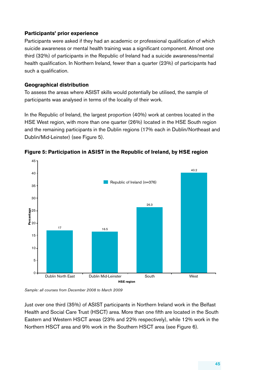#### **Participants' prior experience**

Participants were asked if they had an academic or professional qualification of which. suicide awareness or mental health training was a significant component. Almost one. third (32%) of participants in the Republic of Ireland had a suicide awareness/mental health qualification. In Northern Ireland, fewer than a quarter (23%) of participants had. such a qualification.

#### **Geographical distribution**

To assess the areas where ASIST skills would potentially be utilised, the sample of participants was analysed in terms of the locality of their work.

In the Republic of Ireland, the largest proportion (40%) work at centres located in the. HSE West region, with more than one quarter (26%) located in the HSE South region. and the remaining participants in the Dublin regions (17% each in Dublin/Northeast and. Dublin/Mid-Leinster) (see Figure 5).



**Figure 5: Participation in ASIST in the Republic of Ireland, by HSE region** 

Sample: all courses from December 2008 to March 2009

Just over one third (35%) of ASIST participants in Northern Ireland work in the Belfast. Health and Social Care Trust (HSCT) area. More than one fifth are located in the South. Eastern and Western HSCT areas (23% and 22% respectively), while 12% work in the Northern HSCT area and 9% work in the Southern HSCT area (see Figure 6).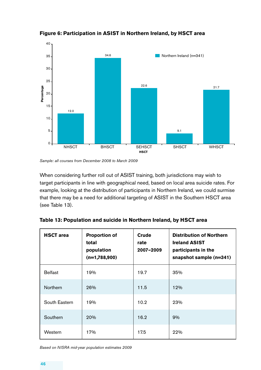

**Figure 6: Participation in ASIST in Northern Ireland, by HSCT area** 

When considering further roll out of ASIST training, both jurisdictions may wish to. target participants in line with geographical need, based on local area suicide rates. For example, looking at the distribution of participants in Northern Ireland, we could surmise that there may be a need for additional targeting of ASIST in the Southern HSCT area. (see Table 13).

| <b>HSCT</b> area | <b>Proportion of</b><br>total<br>population<br>$(n=1,788,900)$ | <b>Crude</b><br>rate<br>2007-2009 | <b>Distribution of Northern</b><br><b>Ireland ASIST</b><br>participants in the<br>snapshot sample (n=341) |
|------------------|----------------------------------------------------------------|-----------------------------------|-----------------------------------------------------------------------------------------------------------|
| <b>Belfast</b>   | 19%                                                            | 19.7                              | 35%                                                                                                       |
| Northern         | 26%                                                            | 11.5                              | 12%                                                                                                       |
| South Eastern    | 19%                                                            | 10.2                              | 23%                                                                                                       |
| Southern         | 20%                                                            | 16.2                              | 9%                                                                                                        |
| Western          | 17%                                                            | 17.5                              | 22%                                                                                                       |

| Table 13: Population and suicide in Northern Ireland, by HSCT area |  |  |  |
|--------------------------------------------------------------------|--|--|--|

*Based on NISRA mid-year population estimates 2009*

Sample: all courses from December 2008 to March 2009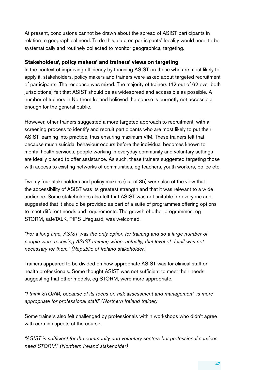At present, conclusions cannot be drawn about the spread of ASIST participants in. relation to geographical need. To do this, data on participants' locality would need to be systematically and routinely collected to monitor geographical targeting.

#### **Stakeholders', policy makers' and trainers' views on targeting**

In the context of improving efficiency by focusing ASIST on those who are most likely to. apply it, stakeholders, policy makers and trainers were asked about targeted recruitment. of participants. The response was mixed. The majority of trainers (42 out of 62 over both. jurisdictions) felt that ASIST should be as widespread and accessible as possible. A number of trainers in Northern Ireland believed the course is currently not accessible. enough for the general public.

However, other trainers suggested a more targeted approach to recruitment, with a screening.process to identify and recruit participants who are most likely to put their. ASIST learning into practice, thus ensuring maximum VfM. These trainers felt that. because much suicidal behaviour occurs before the individual becomes known to. mental health services, people working in everyday community and voluntary settings. are ideally placed to offer assistance. As such, these trainers suggested targeting those. with access to existing networks of communities, eg teachers, youth workers, police etc.

Twenty four stakeholders and policy makers (out of 35) were also of the view that. the accessibility of ASIST was its greatest strength and that it was relevant to a wide. audience. Some stakeholders also felt that ASIST was not suitable for everyone and suggested that it should be provided as part of a suite of programmes offering options. to meet different needs and requirements. The growth of other programmes, eg. STORM, safeTALK, PIPS Lifeguard, was welcomed.

*"For a long time, ASIST was the only option for training and so a large number of people* were receiving ASIST training when, actually, that level of detail was not *necessary for them."* (Republic of Ireland stakeholder)

Trainers appeared to be divided on how appropriate ASIST was for clinical staff or. health professionals. Some thought ASIST was not sufficient to meet their needs, suggesting that other models, eg STORM, were more appropriate.

*"I think STORM, because of its focus on risk assessment and management, is more*  appropriate for professional staff." (Northern Ireland trainer)

Some trainers also felt challenged by professionals within workshops who didn't agree. with certain aspects of the course.

"ASIST is sufficient for the community and voluntary sectors but professional services *need STORM." (Northern Ireland stakeholder)*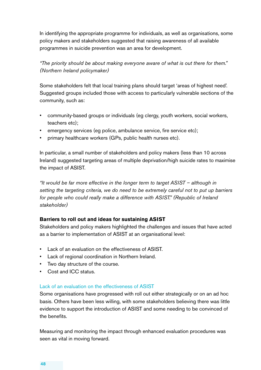In identifying the appropriate programme for individuals, as well as organisations, some policy makers and stakeholders suggested that raising awareness of all available programmes in suicide prevention was an area for development.

"The priority should be about making everyone aware of what is out there for them." *(Northern Ireland policymaker)*

Some stakeholders felt that local training plans should target 'areas of highest need'. Suggested groups included those with access to particularly vulnerable sections of the. community, such as:

- community-based groups or individuals (eg clergy, youth workers, social workers, teachers etc);
- emergency services (eg police, ambulance service, fire service etc);
- primary healthcare workers (GPs, public health nurses etc).

In particular, a small number of stakeholders and policy makers (less than 10 across. Ireland) suggested targeting areas of multiple deprivation/high suicide rates to maximise. the impact of ASIST.

*"It* would be far more effective in the longer term to target ASIST – although in setting the targeting criteria, we do need to be extremely careful not to put up barriers *for people who could really make a difference with ASIST." (Republic of Ireland stakeholder)* 

#### **Barriers to roll out and ideas for sustaining ASIST**

Stakeholders and policy makers highlighted the challenges and issues that have acted. as a barrier to implementation of ASIST at an organisational level:

- Lack of an evaluation on the effectiveness of ASIST.
- Lack of regional coordination in Northern Ireland.
- Two day structure of the course.
- Cost and ICC status.

#### Lack of an evaluation on the effectiveness of ASIST

Some organisations have progressed with roll out either strategically or on an ad hoc. basis. Others have been less willing, with some stakeholders believing there was little evidence to support the introduction of ASIST and some needing to be convinced of the benefits.

Measuring and monitoring the impact through enhanced evaluation procedures was. seen as vital in moving forward.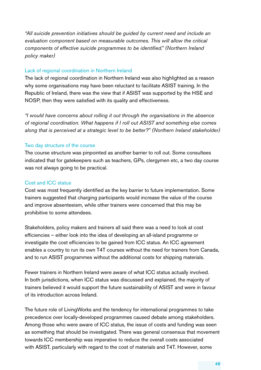"All suicide prevention initiatives should be guided by current need and include an evaluation component based on measurable outcomes. This will allow the critical *components of effective suicide programmes to be identified."* (Northern Ireland *policy maker)* 

#### Lack of regional coordination in Northern Ireland

The lack of regional coordination in Northern Ireland was also highlighted as a reason. why some organisations may have been reluctant to facilitate ASIST training. In the Republic of Ireland, there was the view that if ASIST was supported by the HSE and NOSP, then they were satisfied with its quality and effectiveness.

"I would have concerns about rolling it out through the organisations in the absence of regional coordination. What happens if I roll out ASIST and something else comes along that is perceived at a strategic level to be better?" (Northern Ireland stakeholder)

#### Two day structure of the course.

The course structure was pinpointed as another barrier to roll out. Some consultees. indicated that for gatekeepers such as teachers, GPs, clergymen etc, a two day course. was not always going to be practical.

#### Cost and ICC status.

Cost was most frequently identified as the key barrier to future implementation. Some. trainers suggested that charging participants would increase the value of the course. and improve absenteeism, while other trainers were concerned that this may be prohibitive to some attendees.

Stakeholders, policy makers and trainers all said there was a need to look at cost. efficiencies.– either. look. into the idea of developing an all-island programme or. investigate the cost efficiencies to be gained from ICC status. An ICC agreement enables a country to run its own T4T courses without the need for trainers from Canada, and to run ASIST programmes without the additional costs for shipping materials.

Fewer trainers in Northern Ireland were aware of what ICC status actually involved. In both jurisdictions, when ICC status was discussed and explained, the majority of trainers believed it would support the future sustainability of ASIST and were in favour. of its introduction across Ireland.

The future role of LivingWorks and the tendency for international programmes to take. precedence over.locally-developed.programmes.caused.debate.among.stakeholders. Among those who were aware of ICC status, the issue of costs and funding was seen. as something that should be investigated. There was general consensus that movement. towards. ICC membership was imperative to reduce the overall costs associated. with ASIST, particularly with regard to the cost of materials and T4T. However, some.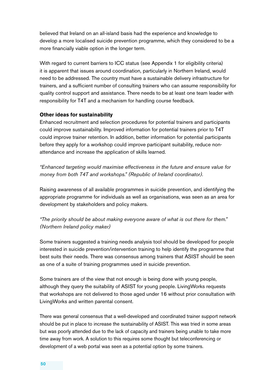believed that Ireland on an all-island basis had the experience and knowledge to. develop a more localised suicide prevention programme, which they considered to be a more financially viable option in the longer term.

With regard to current barriers to ICC status (see Appendix 1 for eligibility criteria). it is apparent that issues around coordination, particularly in Northern Ireland, would need to be addressed. The country must have a sustainable delivery infrastructure for. trainers, and a sufficient number of consulting trainers who can assume responsibility for quality control support and assistance. There needs to be at least one team leader with. responsibility for T4T and a mechanism for handling course feedback.

#### **Other ideas for sustainability**

Enhanced recruitment and selection procedures for potential trainers and participants. could improve sustainability. Improved information for potential trainers prior to T4T could improve trainer retention. In addition, better information for potential participants. before they apply for a workshop could improve participant suitability, reduce nonattendance and increase the application of skills learned.

*"Enhanced targeting would maximise effectiveness in the future and ensure value for money from both T4T and workshops."* (Republic of Ireland coordinator).

Raising awareness of all available programmes in suicide prevention, and identifying the appropriate programme for individuals as well as organisations, was seen as an area for development by stakeholders and policy makers.

#### "The priority should be about making everyone aware of what is out there for them." *(Northern Ireland policy maker)*

Some trainers suggested a training needs analysis tool should be developed for people. interested in suicide prevention/intervention training to help identify the programme that. best suits their needs. There was consensus among trainers that ASIST should be seen. as one of a suite of training programmes used in suicide prevention.

Some trainers are of the view that not enough is being done with young people, although they query the suitability of ASIST for young people. LivingWorks requests. that workshops are not delivered to those aged under 16 without prior consultation with. LivingWorks and written parental consent.

There was general consensus that a well-developed and coordinated trainer support network. should be put in place to increase the sustainability of ASIST. This was tried in some areas. but was poorly attended due to the lack of capacity and trainers being unable to take more. time away from work. A solution to this requires some thought but teleconferencing or. development of a web portal was seen as a potential option by some trainers.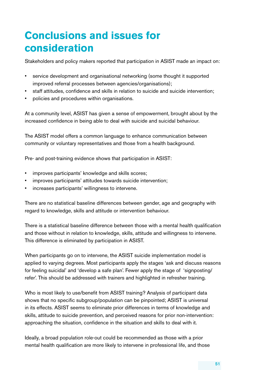# **Conclusions and issues for consideration**

Stakeholders and policy makers reported that participation in ASIST made an impact on:

- service development and organisational networking (some thought it supported improved referral processes between agencies/organisations);
- staff attitudes, confidence and skills in relation to suicide and suicide intervention;
- policies and procedures within organisations.

At a community level, ASIST has given a sense of empowerment, brought about by the. increased confidence in being able to deal with suicide and suicidal behaviour.

The ASIST model offers a common language to enhance communication between. community or voluntary representatives and those from a health background.

Pre- and post-training evidence shows that participation in ASIST:

- improves participants' knowledge and skills scores;
- improves participants' attitudes towards suicide intervention;
- increases participants' willingness to intervene.

There are no statistical baseline differences between gender, age and geography with. regard to knowledge, skills and attitude or intervention behaviour.

There is a statistical baseline difference between those with a mental health qualification. and those without in relation to knowledge, skills, attitude and willingness to intervene. This difference is eliminated by participation in ASIST.

When participants go on to intervene, the ASIST suicide implementation model is. applied to varying degrees. Most participants apply the stages 'ask and discuss reasons. for feeling suicidal' and 'develop a safe plan'. Fewer apply the stage of 'signposting/ refer'. This should be addressed with trainers and highlighted in refresher training.

Who is most likely to use/benefit from ASIST training? Analysis of participant data. shows that no specific subgroup/population can be pinpointed; ASIST is universal in its effects. ASIST seems to eliminate prior differences in terms of knowledge and. skills, attitude to suicide prevention, and perceived reasons for prior non-intervention: approaching the situation, confidence in the situation and skills to deal with it.

Ideally, a broad population role-out could be recommended as those with a prior. mental health qualification are more likely to intervene in professional life, and those.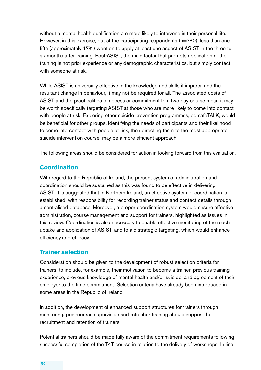without a mental health qualification are more likely to intervene in their personal life. However, in this exercise, out of the participating respondents (n=780), less than one. fifth (approximately 17%) went on to apply at least one aspect of ASIST in the three to. six months after training. Post-ASIST, the main factor that prompts application of the. training is not prior experience or any demographic characteristics, but simply contact. with someone at risk.

While ASIST is universally effective in the knowledge and skills it imparts, and the. resultant change in behaviour, it may not be required for all. The associated costs of ASIST and the practicalities of access or commitment to a two.day.course.mean.it.may. be worth specifically targeting ASIST at those who are more likely to come into contact. with people at risk. Exploring other suicide prevention programmes, eg safeTALK, would be beneficial for other groups. Identifying the needs of participants and their likelihood to come into contact with people at risk, then directing them to the most appropriate. suicide intervention course, may be a more efficient approach.

The following areas should be considered for action in looking forward from this evaluation.

### **Coordination**

With regard to the Republic of Ireland, the present system of administration and coordination should be sustained as this was found to be effective in delivering. ASIST. It is suggested that in Northern Ireland, an effective system of coordination is. established, with responsibility for recording trainer status and contact details through. a centralised database. Moreover, a proper coordination system would ensure effective administration, course management and support for trainers, highlighted as issues in. this review. Coordination is also necessary to enable effective monitoring of the reach, uptake and application of ASIST, and to aid strategic targeting, which would enhance efficiency and efficacy.

#### **Trainer selection**

Consideration. should be given to the development of robust selection criteria for. trainers, to include, for example, their motivation to become a trainer, previous training. experience, previous knowledge of mental health and/or suicide, and agreement of their employer to the time commitment. Selection criteria have already been introduced in. some areas in the Republic of Ireland.

In addition, the development of enhanced support structures for trainers through. monitoring, post-course supervision and refresher training should support the. recruitment and retention of trainers.

Potential trainers should be made fully aware of the commitment requirements following. successful completion of the T4T course in relation to the delivery of workshops. In line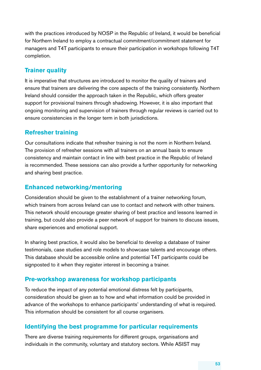with the practices introduced by NOSP in the Republic of Ireland, it would be beneficial for. Northern Ireland to employ a contractual commitment/commitment statement for. managers and T4T participants to ensure their participation in workshops following T4T completion.

# **Trainer quality**

It is imperative that structures are introduced to monitor the quality of trainers and. ensure that trainers are delivering the core aspects of the training consistently. Northern. Ireland should consider the approach taken in the Republic, which offers greater. support for provisional trainers through shadowing. However, it is also important that. ongoing monitoring and supervision of trainers through regular reviews is carried out to. ensure consistencies in the longer term in both jurisdictions.

# **Refresher training**

Our. consultations. indicate that refresher training is not the norm in Northern Ireland. The provision of refresher sessions with all trainers on an annual basis to ensure. consistency and maintain contact in line with best practice in the Republic of Ireland is recommended. These sessions can also provide a further opportunity for networking. and sharing best practice.

### **Enhanced networking/mentoring**

Consideration.should.be.given.to.the.establishment.of.a.trainer.networking.forum, which trainers from across Ireland can use to contact and network with other trainers. This network should encourage greater sharing of best practice and lessons learned in. training, but could also provide a peer network of support for trainers to discuss issues, share experiences and emotional support.

In sharing best practice, it would also be beneficial to develop a database of trainer. testimonials, case studies and role models to showcase talents and encourage others. This database should be accessible online and potential T4T participants could be. signposted to it when they register interest in becoming a trainer.

### **Pre-workshop awareness for workshop participants**

To reduce the impact of any potential emotional distress felt by participants, consideration.should.be.given.as.to.how.and.what.information.could.be.provided.in. advance of the workshops to enhance participants' understanding of what is required. This information should be consistent for all course organisers.

### **Identifying the best programme for particular requirements**

There are diverse training requirements for different groups, organisations and. individuals in the community, voluntary and statutory sectors. While ASIST may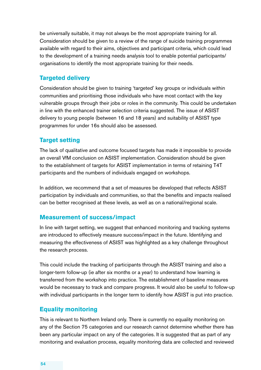be universally suitable, it may not always be the most appropriate training for all. Consideration should be given to a review of the range of suicide training programmes. available with regard to their aims, objectives and participant criteria, which could lead. to. the. development of a training needs analysis tool to enable potential participants/ organisations to identify the most appropriate training for their needs.

### **Targeted delivery**

Consideration should be given to training 'targeted' key groups or individuals within. communities and prioritising those individuals who have most contact with the key vulnerable groups through their jobs or roles in the community. This could be undertaken in. line.with.the.enhanced.trainer.selection.criteria.suggested. The issue of ASIST delivery to young people (between 16 and 18 years) and suitability of ASIST type. programmes for under 16s should also be assessed.

#### **Target setting**

The lack of qualitative and outcome focused targets has made it impossible to provide. an overall VfM conclusion on ASIST implementation. Consideration should be given. to.the.establishment of targets for ASIST implementation in terms of retaining T4T. participants and the numbers of individuals engaged on workshops.

In addition, we recommend that a set of measures be developed that reflects ASIST participation by individuals and communities, so that the benefits and impacts realised. can be better recognised at these levels, as well as on a national/regional scale.

#### **Measurement of success/impact**

In line with target setting, we suggest that enhanced monitoring and tracking systems. are introduced to effectively measure success/impact in the future. Identifying and. measuring the effectiveness of ASIST was highlighted as a key challenge throughout the research process.

This could include the tracking of participants through the ASIST training and also a longer-term follow-up (ie after six months or a year) to understand how learning is. transferred from the workshop into practice. The establishment of baseline measures. would be necessary to track and compare progress. It would also be useful to follow-up with. individual participants in the longer term to identify how ASIST is put into practice.

#### **Equality monitoring**

This is relevant to Northern Ireland only. There is currently no equality monitoring on. any of the Section 75 categories and our research cannot determine whether there has. been any particular impact on any of the categories. It is suggested that as part of any monitoring and evaluation process, equality monitoring data are collected and reviewed.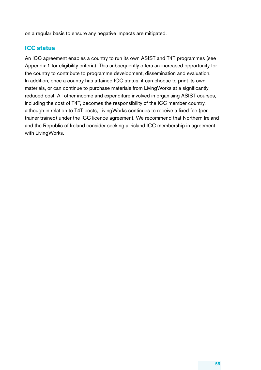on a regular basis to ensure any negative impacts are mitigated.

# **ICC status**

An ICC agreement enables a country to run its own ASIST and T4T programmes (see. Appendix.1. for eligibility criteria). This subsequently offers an increased opportunity for. the country to contribute to programme development, dissemination and evaluation. In addition, once a country has attained ICC status, it can choose to print its own. materials, or can continue to purchase materials from LivingWorks at a significantly. reduced cost. All other income and expenditure involved in organising ASIST courses, including the cost of T4T, becomes the responsibility of the ICC member country, although in relation to T4T costs, LivingWorks continues to receive a fixed fee (per. trainer trained) under the ICC licence agreement. We recommend that Northern Ireland and the Republic of Ireland consider seeking all-island ICC membership in agreement. with LivingWorks.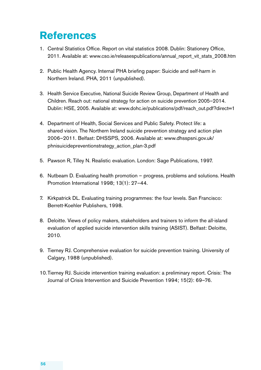# **References**

- 1. Central Statistics Office. Report on vital statistics 2008. Dublin: Stationery Office, 2011. Available at: www.cso.ie/releasespublications/annual\_report\_vit\_stats\_2008.htm
- 2. Public Health Agency. Internal PHA briefing paper: Suicide and self-harm in Northern Ireland. PHA, 2011 (unpublished).
- 3. Health Service Executive, National Suicide Review Group, Department of Health and Children. Reach out: national strategy for action on suicide prevention 2005–2014. Dublin: HSE, 2005. Available at: www.dohc.ie/publications/pdf/reach\_out.pdf?direct=1
- 4. Department of Health, Social Services and Public Safety. Protect life: a. shared vision. The Northern Ireland suicide prevention strategy and action plan. 2006–2011. Belfast: DHSSPS, 2006. Available at: www.dhsspsni.gov.uk/ phnisuicidepreventionstrategy\_action\_plan-3.pdf.
- 5. Pawson R, Tilley N. Realistic evaluation. London: Sage Publications, 1997.
- 6. Nutbeam D. Evaluating health promotion progress, problems and solutions. Health. Promotion International 1998; 13(1): 27-44.
- 7. Kirkpatrick DL. Evaluating training programmes: the four levels. San Francisco: Berrett-Koehler Publishers, 1998.
- 8. Deloitte. Views of policy makers, stakeholders and trainers to inform the all-island evaluation of applied suicide intervention skills training (ASIST). Belfast: Deloitte, 2010.
- 9. Tierney RJ. Comprehensive evaluation for suicide prevention training. University of Calgary, 1988 (unpublished).
- 10. Tierney RJ. Suicide intervention training evaluation: a preliminary report. Crisis: The Journal of Crisis Intervention and Suicide Prevention 1994; 15(2): 69–76.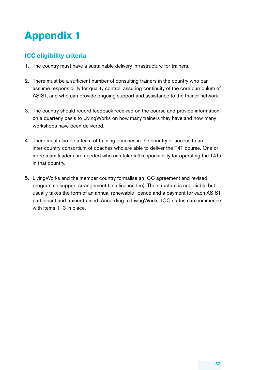# **Appendix 1**

# **ICC eligibility criteria**

- 1. The country must have a sustainable delivery infrastructure for trainers.
- 2. There must be a sufficient number of consulting trainers in the country who can. assume responsibility for quality control, assuring continuity of the core curriculum of ASIST, and who can provide ongoing support and assistance to the trainer network.
- 3. The country should record feedback received on the course and provide information on a quarterly basis to Living Works on how many trainers they have and how many workshops have been delivered.
- 4. There must also be a team of training coaches in the country or access to an. inter-country consortium of coaches who are able to deliver the T4T course. One or. more team leaders are needed who can take full responsibility for operating the T4Ts. in that country.
- 5. Living Works and the member country formalise an ICC agreement and revised. programme support arrangement (ie a licence fee). The structure is negotiable but. usually takes the form of an annual renewable licence and a payment for each ASIST participant and trainer trained. According to LivingWorks, ICC status can commence with items  $1-3$  in place.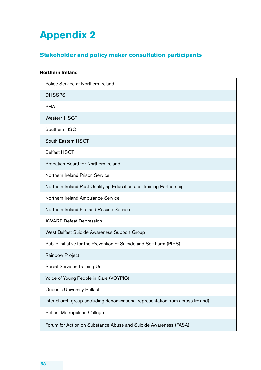# **Appendix 2**

# **Stakeholder and policy maker consultation participants**

# **Northern Ireland**  Police Service of Northern Ireland **DHSSPS** . PHA. Western HSCT Southern HSCT South Eastern HSCT . Belfast.HSCT . Probation.Board.for.Northern.Ireland. Northern Ireland Prison Service. Northern Ireland Post Qualifying Education and Training Partnership Northern Ireland Ambulance Service. Northern Ireland Fire and Rescue Service. **AWARE Defeat Depression** West Belfast Suicide Awareness Support Group Public. Initiative for the Prevention of Suicide and Self-harm (PIPS). Rainbow Project Social Services Training Unit. Voice of Young People in Care (VOYPIC). Queen's University Belfast. Inter church group (including denominational representation from across Ireland) . Belfast.Metropolitan.College.

Forum for Action on Substance Abuse and Suicide Awareness (FASA).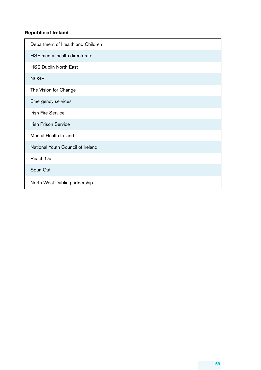#### **Republic of Ireland**

| Department of Health and Children |
|-----------------------------------|
| HSE mental health directorate     |
| <b>HSE Dublin North East</b>      |
| <b>NOSP</b>                       |
| The Vision for Change             |
| <b>Emergency services</b>         |
| <b>Irish Fire Service</b>         |
| <b>Irish Prison Service</b>       |
| Mental Health Ireland             |
| National Youth Council of Ireland |
| <b>Reach Out</b>                  |
| Spun Out                          |
| North West Dublin partnership     |